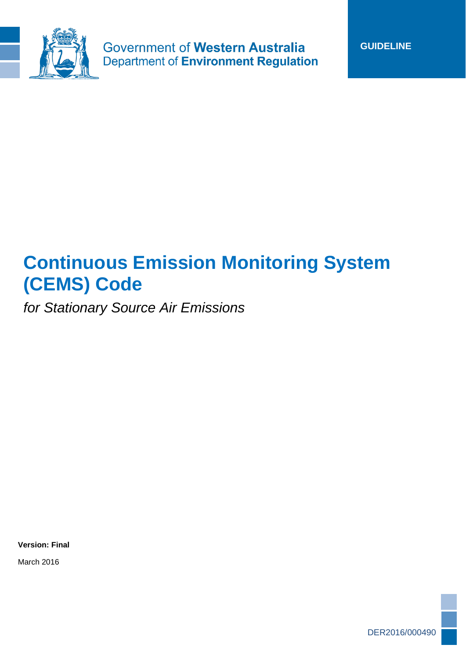

Government of Western Australia **Department of Environment Regulation** 

# **Continuous Emission Monitoring System (CEMS) Code**

*for Stationary Source Air Emissions*

**Version: Final**

March 2016

DER2016/000490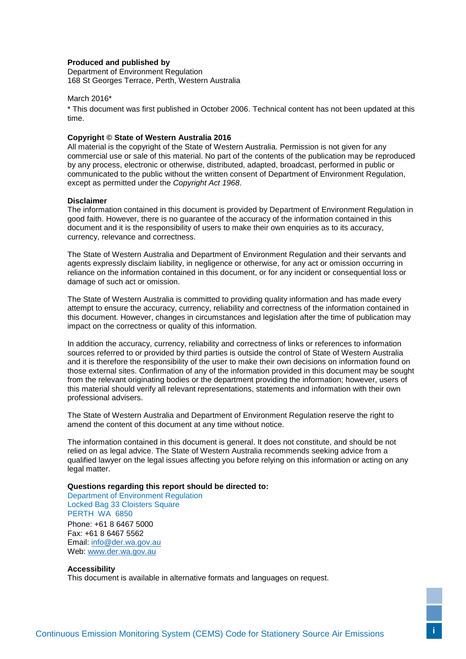#### **Produced and published by**

Department of Environment Regulation 168 St Georges Terrace, Perth, Western Australia

#### March 2016\*

\* This document was first published in October 2006. Technical content has not been updated at this time.

#### **Copyright © State of Western Australia 2016**

All material is the copyright of the State of Western Australia. Permission is not given for any commercial use or sale of this material. No part of the contents of the publication may be reproduced by any process, electronic or otherwise, distributed, adapted, broadcast, performed in public or communicated to the public without the written consent of Department of Environment Regulation, except as permitted under the *Copyright Act 1968*.

#### **Disclaimer**

The information contained in this document is provided by Department of Environment Regulation in good faith. However, there is no guarantee of the accuracy of the information contained in this document and it is the responsibility of users to make their own enquiries as to its accuracy, currency, relevance and correctness.

The State of Western Australia and Department of Environment Regulation and their servants and agents expressly disclaim liability, in negligence or otherwise, for any act or omission occurring in reliance on the information contained in this document, or for any incident or consequential loss or damage of such act or omission.

The State of Western Australia is committed to providing quality information and has made every attempt to ensure the accuracy, currency, reliability and correctness of the information contained in this document. However, changes in circumstances and legislation after the time of publication may impact on the correctness or quality of this information.

In addition the accuracy, currency, reliability and correctness of links or references to information sources referred to or provided by third parties is outside the control of State of Western Australia and it is therefore the responsibility of the user to make their own decisions on information found on those external sites. Confirmation of any of the information provided in this document may be sought from the relevant originating bodies or the department providing the information; however, users of this material should verify all relevant representations, statements and information with their own professional advisers.

The State of Western Australia and Department of Environment Regulation reserve the right to amend the content of this document at any time without notice.

The information contained in this document is general. It does not constitute, and should be not relied on as legal advice. The State of Western Australia recommends seeking advice from a qualified lawyer on the legal issues affecting you before relying on this information or acting on any legal matter.

#### **Questions regarding this report should be directed to:**

Department of Environment Regulation Locked Bag 33 Cloisters Square PERTH WA 6850 Phone: +61 8 6467 5000 Fax: +61 8 6467 5562 Email: [info@der.wa.gov.au](mailto:info@der.wa.gov.au) Web: [www.der.wa.gov.au](http://www.der.wa.gov.au/) 

#### **Accessibility**

This document is available in alternative formats and languages on request.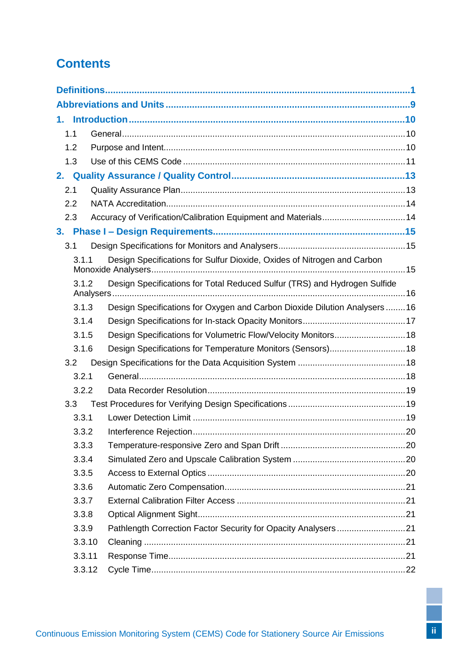# **Contents**

| 1.1            |                                                                            |  |
|----------------|----------------------------------------------------------------------------|--|
| 1.2            |                                                                            |  |
| 1.3            |                                                                            |  |
| 2.             |                                                                            |  |
| 2.1            |                                                                            |  |
| 2.2            |                                                                            |  |
| 2.3            | Accuracy of Verification/Calibration Equipment and Materials 14            |  |
| 3 <sub>1</sub> |                                                                            |  |
| 3.1            |                                                                            |  |
| 3.1.1          | Design Specifications for Sulfur Dioxide, Oxides of Nitrogen and Carbon    |  |
| 3.1.2          | Design Specifications for Total Reduced Sulfur (TRS) and Hydrogen Sulfide  |  |
| 3.1.3          | Design Specifications for Oxygen and Carbon Dioxide Dilution Analysers  16 |  |
| 3.1.4          |                                                                            |  |
| 3.1.5          | Design Specifications for Volumetric Flow/Velocity Monitors 18             |  |
| 3.1.6          | Design Specifications for Temperature Monitors (Sensors) 18                |  |
| 3.2            |                                                                            |  |
| 3.2.1          |                                                                            |  |
| 3.2.2          |                                                                            |  |
| 3.3            |                                                                            |  |
| 3.3.1          |                                                                            |  |
| 3.3.2          |                                                                            |  |
| 3.3.3          |                                                                            |  |
| 3.3.4          |                                                                            |  |
| 3.3.5          |                                                                            |  |
| 3.3.6          |                                                                            |  |
| 3.3.7          |                                                                            |  |
| 3.3.8          |                                                                            |  |
| 3.3.9          |                                                                            |  |
| 3.3.10         |                                                                            |  |
| 3.3.11         |                                                                            |  |
| 3.3.12         |                                                                            |  |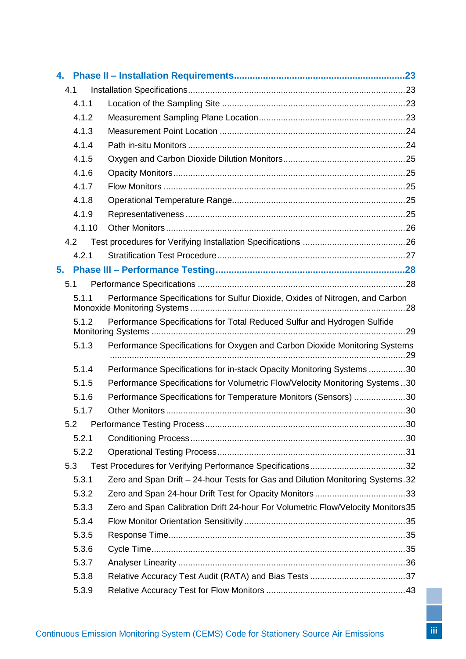| 4. |        |                                                                                 |  |
|----|--------|---------------------------------------------------------------------------------|--|
|    | 4.1    |                                                                                 |  |
|    | 4.1.1  |                                                                                 |  |
|    | 4.1.2  |                                                                                 |  |
|    | 4.1.3  |                                                                                 |  |
|    | 4.1.4  |                                                                                 |  |
|    | 4.1.5  |                                                                                 |  |
|    | 4.1.6  |                                                                                 |  |
|    | 4.1.7  |                                                                                 |  |
|    | 4.1.8  |                                                                                 |  |
|    | 4.1.9  |                                                                                 |  |
|    | 4.1.10 |                                                                                 |  |
|    | 4.2    |                                                                                 |  |
|    | 4.2.1  |                                                                                 |  |
| 5. |        |                                                                                 |  |
|    | 5.1    |                                                                                 |  |
|    | 5.1.1  | Performance Specifications for Sulfur Dioxide, Oxides of Nitrogen, and Carbon   |  |
|    | 5.1.2  | Performance Specifications for Total Reduced Sulfur and Hydrogen Sulfide        |  |
|    | 5.1.3  | Performance Specifications for Oxygen and Carbon Dioxide Monitoring Systems     |  |
|    | 5.1.4  | Performance Specifications for in-stack Opacity Monitoring Systems 30           |  |
|    | 5.1.5  | Performance Specifications for Volumetric Flow/Velocity Monitoring Systems30    |  |
|    | 5.1.6  | Performance Specifications for Temperature Monitors (Sensors) 30                |  |
|    | 5.1.7  |                                                                                 |  |
|    |        |                                                                                 |  |
|    | 5.2    |                                                                                 |  |
|    | 5.2.1  |                                                                                 |  |
|    | 5.2.2  |                                                                                 |  |
|    | 5.3    |                                                                                 |  |
|    | 5.3.1  | Zero and Span Drift - 24-hour Tests for Gas and Dilution Monitoring Systems. 32 |  |
|    | 5.3.2  |                                                                                 |  |
|    | 5.3.3  | Zero and Span Calibration Drift 24-hour For Volumetric Flow/Velocity Monitors35 |  |
|    | 5.3.4  |                                                                                 |  |
|    | 5.3.5  |                                                                                 |  |
|    | 5.3.6  |                                                                                 |  |
|    | 5.3.7  |                                                                                 |  |
|    | 5.3.8  |                                                                                 |  |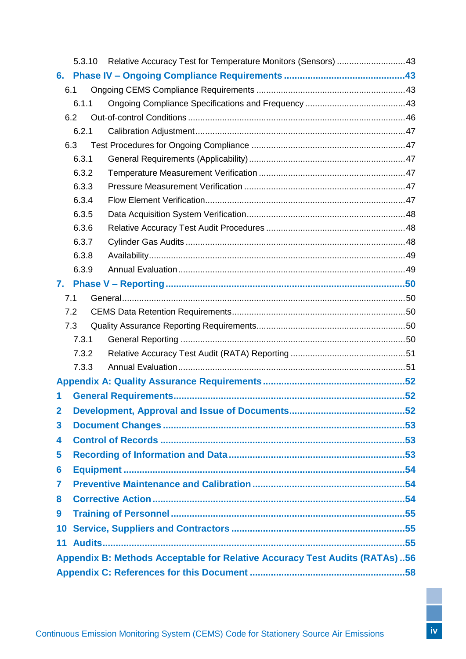|                 | 5.3.10 | Relative Accuracy Test for Temperature Monitors (Sensors)  43              |  |  |
|-----------------|--------|----------------------------------------------------------------------------|--|--|
|                 |        |                                                                            |  |  |
|                 | 6.1    |                                                                            |  |  |
|                 | 6.1.1  |                                                                            |  |  |
|                 | 6.2    |                                                                            |  |  |
|                 | 6.2.1  |                                                                            |  |  |
|                 | 6.3    |                                                                            |  |  |
|                 | 6.3.1  |                                                                            |  |  |
|                 | 6.3.2  |                                                                            |  |  |
|                 | 6.3.3  |                                                                            |  |  |
|                 | 6.3.4  |                                                                            |  |  |
|                 | 6.3.5  |                                                                            |  |  |
|                 | 6.3.6  |                                                                            |  |  |
|                 | 6.3.7  |                                                                            |  |  |
|                 | 6.3.8  |                                                                            |  |  |
|                 | 6.3.9  |                                                                            |  |  |
| 7.              |        |                                                                            |  |  |
|                 | 7.1    |                                                                            |  |  |
|                 | 7.2    |                                                                            |  |  |
|                 | 7.3    |                                                                            |  |  |
|                 | 7.3.1  |                                                                            |  |  |
|                 | 7.3.2  |                                                                            |  |  |
|                 | 7.3.3  |                                                                            |  |  |
|                 |        |                                                                            |  |  |
| 1               |        |                                                                            |  |  |
| $\mathbf{2}$    |        |                                                                            |  |  |
| 3               |        |                                                                            |  |  |
| 4               |        |                                                                            |  |  |
| 5               |        |                                                                            |  |  |
| 6               |        |                                                                            |  |  |
| 7               |        |                                                                            |  |  |
| 8               |        |                                                                            |  |  |
| 9               |        |                                                                            |  |  |
|                 |        |                                                                            |  |  |
| 10 <sub>1</sub> |        |                                                                            |  |  |
| 11              |        |                                                                            |  |  |
|                 |        | Appendix B: Methods Acceptable for Relative Accuracy Test Audits (RATAs)56 |  |  |
|                 |        |                                                                            |  |  |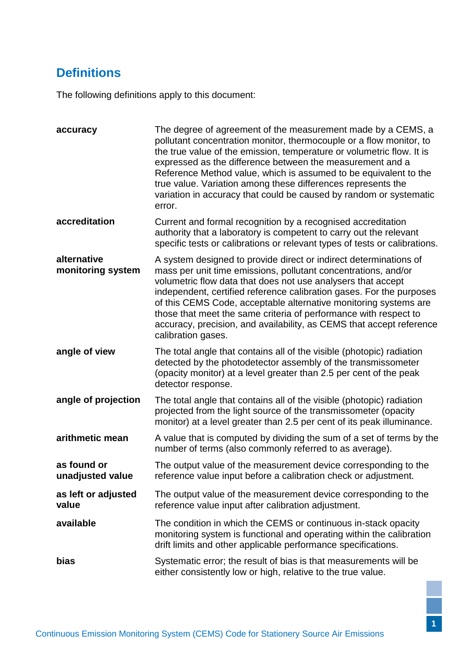# <span id="page-5-0"></span>**Definitions**

The following definitions apply to this document:

| accuracy                                                                                                                                                                                                                                                                                                                                                                                                                                                                                                                                              | The degree of agreement of the measurement made by a CEMS, a<br>pollutant concentration monitor, thermocouple or a flow monitor, to<br>the true value of the emission, temperature or volumetric flow. It is<br>expressed as the difference between the measurement and a<br>Reference Method value, which is assumed to be equivalent to the<br>true value. Variation among these differences represents the<br>variation in accuracy that could be caused by random or systematic<br>error. |  |
|-------------------------------------------------------------------------------------------------------------------------------------------------------------------------------------------------------------------------------------------------------------------------------------------------------------------------------------------------------------------------------------------------------------------------------------------------------------------------------------------------------------------------------------------------------|-----------------------------------------------------------------------------------------------------------------------------------------------------------------------------------------------------------------------------------------------------------------------------------------------------------------------------------------------------------------------------------------------------------------------------------------------------------------------------------------------|--|
| accreditation<br>Current and formal recognition by a recognised accreditation<br>authority that a laboratory is competent to carry out the relevant<br>specific tests or calibrations or relevant types of tests or calibrations.                                                                                                                                                                                                                                                                                                                     |                                                                                                                                                                                                                                                                                                                                                                                                                                                                                               |  |
| alternative<br>A system designed to provide direct or indirect determinations of<br>monitoring system<br>mass per unit time emissions, pollutant concentrations, and/or<br>volumetric flow data that does not use analysers that accept<br>independent, certified reference calibration gases. For the purposes<br>of this CEMS Code, acceptable alternative monitoring systems are<br>those that meet the same criteria of performance with respect to<br>accuracy, precision, and availability, as CEMS that accept reference<br>calibration gases. |                                                                                                                                                                                                                                                                                                                                                                                                                                                                                               |  |
| angle of view                                                                                                                                                                                                                                                                                                                                                                                                                                                                                                                                         | The total angle that contains all of the visible (photopic) radiation<br>detected by the photodetector assembly of the transmissometer<br>(opacity monitor) at a level greater than 2.5 per cent of the peak<br>detector response.                                                                                                                                                                                                                                                            |  |
| angle of projection                                                                                                                                                                                                                                                                                                                                                                                                                                                                                                                                   | The total angle that contains all of the visible (photopic) radiation<br>projected from the light source of the transmissometer (opacity<br>monitor) at a level greater than 2.5 per cent of its peak illuminance.                                                                                                                                                                                                                                                                            |  |
| arithmetic mean                                                                                                                                                                                                                                                                                                                                                                                                                                                                                                                                       | A value that is computed by dividing the sum of a set of terms by the<br>number of terms (also commonly referred to as average).                                                                                                                                                                                                                                                                                                                                                              |  |
| as found or<br>unadjusted value                                                                                                                                                                                                                                                                                                                                                                                                                                                                                                                       | The output value of the measurement device corresponding to the<br>reference value input before a calibration check or adjustment.                                                                                                                                                                                                                                                                                                                                                            |  |
| as left or adjusted<br>The output value of the measurement device corresponding to the<br>value<br>reference value input after calibration adjustment.                                                                                                                                                                                                                                                                                                                                                                                                |                                                                                                                                                                                                                                                                                                                                                                                                                                                                                               |  |
| available                                                                                                                                                                                                                                                                                                                                                                                                                                                                                                                                             | The condition in which the CEMS or continuous in-stack opacity<br>monitoring system is functional and operating within the calibration<br>drift limits and other applicable performance specifications.                                                                                                                                                                                                                                                                                       |  |
| bias                                                                                                                                                                                                                                                                                                                                                                                                                                                                                                                                                  | Systematic error; the result of bias is that measurements will be<br>either consistently low or high, relative to the true value.                                                                                                                                                                                                                                                                                                                                                             |  |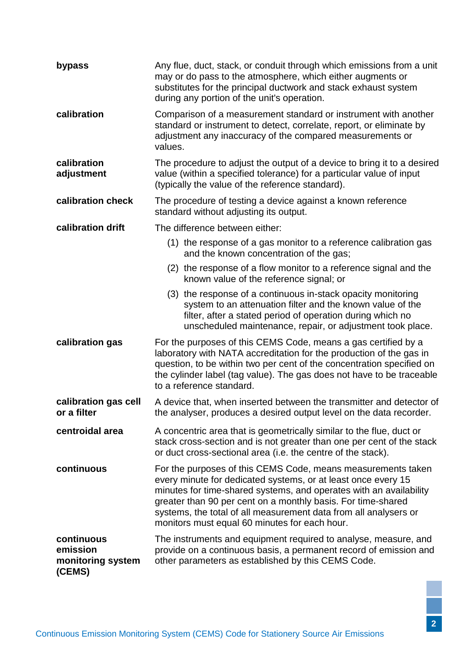| bypass                                                                                                                                                                                                                                              | Any flue, duct, stack, or conduit through which emissions from a unit<br>may or do pass to the atmosphere, which either augments or<br>substitutes for the principal ductwork and stack exhaust system<br>during any portion of the unit's operation.                                                                                                                                    |  |  |  |
|-----------------------------------------------------------------------------------------------------------------------------------------------------------------------------------------------------------------------------------------------------|------------------------------------------------------------------------------------------------------------------------------------------------------------------------------------------------------------------------------------------------------------------------------------------------------------------------------------------------------------------------------------------|--|--|--|
| calibration                                                                                                                                                                                                                                         | Comparison of a measurement standard or instrument with another<br>standard or instrument to detect, correlate, report, or eliminate by<br>adjustment any inaccuracy of the compared measurements or<br>values.                                                                                                                                                                          |  |  |  |
| calibration<br>adjustment                                                                                                                                                                                                                           | The procedure to adjust the output of a device to bring it to a desired<br>value (within a specified tolerance) for a particular value of input<br>(typically the value of the reference standard).                                                                                                                                                                                      |  |  |  |
| calibration check                                                                                                                                                                                                                                   | The procedure of testing a device against a known reference<br>standard without adjusting its output.                                                                                                                                                                                                                                                                                    |  |  |  |
| calibration drift                                                                                                                                                                                                                                   | The difference between either:                                                                                                                                                                                                                                                                                                                                                           |  |  |  |
|                                                                                                                                                                                                                                                     | (1) the response of a gas monitor to a reference calibration gas<br>and the known concentration of the gas;                                                                                                                                                                                                                                                                              |  |  |  |
|                                                                                                                                                                                                                                                     | (2) the response of a flow monitor to a reference signal and the<br>known value of the reference signal; or                                                                                                                                                                                                                                                                              |  |  |  |
|                                                                                                                                                                                                                                                     | (3) the response of a continuous in-stack opacity monitoring<br>system to an attenuation filter and the known value of the<br>filter, after a stated period of operation during which no<br>unscheduled maintenance, repair, or adjustment took place.                                                                                                                                   |  |  |  |
| calibration gas                                                                                                                                                                                                                                     | For the purposes of this CEMS Code, means a gas certified by a<br>laboratory with NATA accreditation for the production of the gas in<br>question, to be within two per cent of the concentration specified on<br>the cylinder label (tag value). The gas does not have to be traceable<br>to a reference standard.                                                                      |  |  |  |
| calibration gas cell<br>or a filter                                                                                                                                                                                                                 | A device that, when inserted between the transmitter and detector of<br>the analyser, produces a desired output level on the data recorder.                                                                                                                                                                                                                                              |  |  |  |
| centroidal area                                                                                                                                                                                                                                     | A concentric area that is geometrically similar to the flue, duct or<br>stack cross-section and is not greater than one per cent of the stack<br>or duct cross-sectional area (i.e. the centre of the stack).                                                                                                                                                                            |  |  |  |
| continuous                                                                                                                                                                                                                                          | For the purposes of this CEMS Code, means measurements taken<br>every minute for dedicated systems, or at least once every 15<br>minutes for time-shared systems, and operates with an availability<br>greater than 90 per cent on a monthly basis. For time-shared<br>systems, the total of all measurement data from all analysers or<br>monitors must equal 60 minutes for each hour. |  |  |  |
| continuous<br>The instruments and equipment required to analyse, measure, and<br>emission<br>provide on a continuous basis, a permanent record of emission and<br>other parameters as established by this CEMS Code.<br>monitoring system<br>(CEMS) |                                                                                                                                                                                                                                                                                                                                                                                          |  |  |  |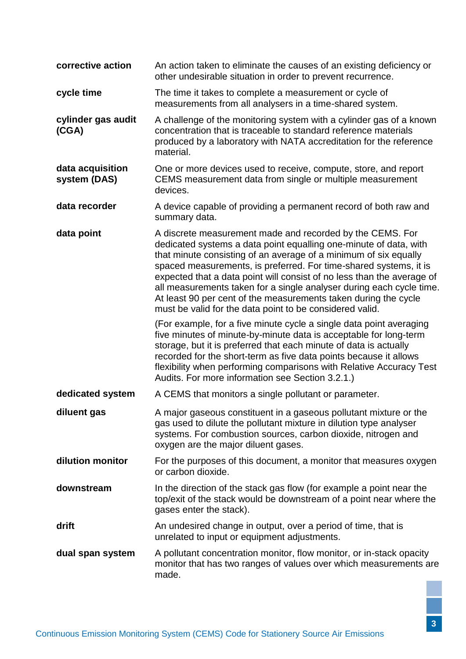| corrective action                | An action taken to eliminate the causes of an existing deficiency or<br>other undesirable situation in order to prevent recurrence.                                                                                                                                                                                                                                                                                                                                                                                                                      |  |  |  |
|----------------------------------|----------------------------------------------------------------------------------------------------------------------------------------------------------------------------------------------------------------------------------------------------------------------------------------------------------------------------------------------------------------------------------------------------------------------------------------------------------------------------------------------------------------------------------------------------------|--|--|--|
| cycle time                       | The time it takes to complete a measurement or cycle of<br>measurements from all analysers in a time-shared system.                                                                                                                                                                                                                                                                                                                                                                                                                                      |  |  |  |
| cylinder gas audit<br>(CGA)      | A challenge of the monitoring system with a cylinder gas of a known<br>concentration that is traceable to standard reference materials<br>produced by a laboratory with NATA accreditation for the reference<br>material.                                                                                                                                                                                                                                                                                                                                |  |  |  |
| data acquisition<br>system (DAS) | One or more devices used to receive, compute, store, and report<br>CEMS measurement data from single or multiple measurement<br>devices.                                                                                                                                                                                                                                                                                                                                                                                                                 |  |  |  |
| data recorder                    | A device capable of providing a permanent record of both raw and<br>summary data.                                                                                                                                                                                                                                                                                                                                                                                                                                                                        |  |  |  |
| data point                       | A discrete measurement made and recorded by the CEMS. For<br>dedicated systems a data point equalling one-minute of data, with<br>that minute consisting of an average of a minimum of six equally<br>spaced measurements, is preferred. For time-shared systems, it is<br>expected that a data point will consist of no less than the average of<br>all measurements taken for a single analyser during each cycle time.<br>At least 90 per cent of the measurements taken during the cycle<br>must be valid for the data point to be considered valid. |  |  |  |
|                                  | (For example, for a five minute cycle a single data point averaging<br>five minutes of minute-by-minute data is acceptable for long-term<br>storage, but it is preferred that each minute of data is actually<br>recorded for the short-term as five data points because it allows<br>flexibility when performing comparisons with Relative Accuracy Test<br>Audits. For more information see Section 3.2.1.)                                                                                                                                            |  |  |  |
| dedicated system                 | A CEMS that monitors a single pollutant or parameter.                                                                                                                                                                                                                                                                                                                                                                                                                                                                                                    |  |  |  |
| diluent gas                      | A major gaseous constituent in a gaseous pollutant mixture or the<br>gas used to dilute the pollutant mixture in dilution type analyser<br>systems. For combustion sources, carbon dioxide, nitrogen and<br>oxygen are the major diluent gases.                                                                                                                                                                                                                                                                                                          |  |  |  |
| dilution monitor                 | For the purposes of this document, a monitor that measures oxygen<br>or carbon dioxide.                                                                                                                                                                                                                                                                                                                                                                                                                                                                  |  |  |  |
| downstream                       | In the direction of the stack gas flow (for example a point near the<br>top/exit of the stack would be downstream of a point near where the<br>gases enter the stack).                                                                                                                                                                                                                                                                                                                                                                                   |  |  |  |
| drift                            | An undesired change in output, over a period of time, that is<br>unrelated to input or equipment adjustments.                                                                                                                                                                                                                                                                                                                                                                                                                                            |  |  |  |
| dual span system                 | A pollutant concentration monitor, flow monitor, or in-stack opacity<br>monitor that has two ranges of values over which measurements are<br>made.                                                                                                                                                                                                                                                                                                                                                                                                       |  |  |  |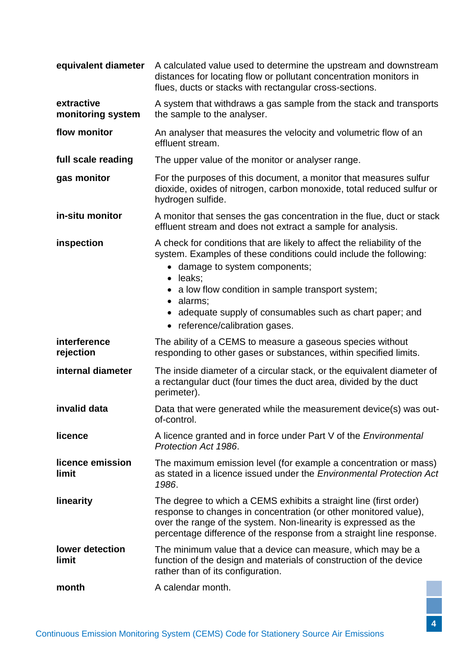| equivalent diameter             | A calculated value used to determine the upstream and downstream<br>distances for locating flow or pollutant concentration monitors in<br>flues, ducts or stacks with rectangular cross-sections.                                                                                                                                                          |  |  |  |  |
|---------------------------------|------------------------------------------------------------------------------------------------------------------------------------------------------------------------------------------------------------------------------------------------------------------------------------------------------------------------------------------------------------|--|--|--|--|
| extractive<br>monitoring system | A system that withdraws a gas sample from the stack and transports<br>the sample to the analyser.                                                                                                                                                                                                                                                          |  |  |  |  |
| flow monitor                    | An analyser that measures the velocity and volumetric flow of an<br>effluent stream.                                                                                                                                                                                                                                                                       |  |  |  |  |
| full scale reading              | The upper value of the monitor or analyser range.                                                                                                                                                                                                                                                                                                          |  |  |  |  |
| gas monitor                     | For the purposes of this document, a monitor that measures sulfur<br>dioxide, oxides of nitrogen, carbon monoxide, total reduced sulfur or<br>hydrogen sulfide.                                                                                                                                                                                            |  |  |  |  |
| in-situ monitor                 | A monitor that senses the gas concentration in the flue, duct or stack<br>effluent stream and does not extract a sample for analysis.                                                                                                                                                                                                                      |  |  |  |  |
| inspection                      | A check for conditions that are likely to affect the reliability of the<br>system. Examples of these conditions could include the following:<br>• damage to system components;<br>· leaks;<br>• a low flow condition in sample transport system;<br>· alarms;<br>adequate supply of consumables such as chart paper; and<br>• reference/calibration gases. |  |  |  |  |
| interference<br>rejection       | The ability of a CEMS to measure a gaseous species without<br>responding to other gases or substances, within specified limits.                                                                                                                                                                                                                            |  |  |  |  |
| internal diameter               | The inside diameter of a circular stack, or the equivalent diameter of<br>a rectangular duct (four times the duct area, divided by the duct<br>perimeter).                                                                                                                                                                                                 |  |  |  |  |
| invalid data                    | Data that were generated while the measurement device(s) was out-<br>of-control.                                                                                                                                                                                                                                                                           |  |  |  |  |
| licence                         | A licence granted and in force under Part V of the <i>Environmental</i><br>Protection Act 1986.                                                                                                                                                                                                                                                            |  |  |  |  |
| licence emission<br>limit       | The maximum emission level (for example a concentration or mass)<br>as stated in a licence issued under the Environmental Protection Act<br>1986.                                                                                                                                                                                                          |  |  |  |  |
| linearity                       | The degree to which a CEMS exhibits a straight line (first order)<br>response to changes in concentration (or other monitored value),<br>over the range of the system. Non-linearity is expressed as the<br>percentage difference of the response from a straight line response.                                                                           |  |  |  |  |
| lower detection<br>limit        | The minimum value that a device can measure, which may be a<br>function of the design and materials of construction of the device<br>rather than of its configuration.                                                                                                                                                                                     |  |  |  |  |
| month                           | A calendar month.                                                                                                                                                                                                                                                                                                                                          |  |  |  |  |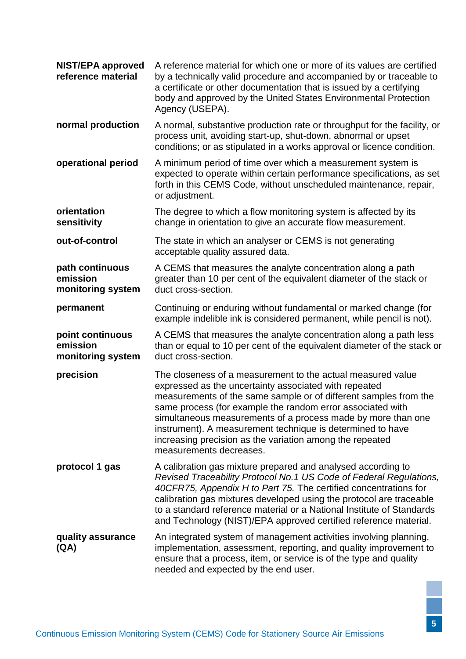| <b>NIST/EPA approved</b><br>reference material    | A reference material for which one or more of its values are certified<br>by a technically valid procedure and accompanied by or traceable to<br>a certificate or other documentation that is issued by a certifying<br>body and approved by the United States Environmental Protection<br>Agency (USEPA).                                                                                                                                                                  |  |  |  |
|---------------------------------------------------|-----------------------------------------------------------------------------------------------------------------------------------------------------------------------------------------------------------------------------------------------------------------------------------------------------------------------------------------------------------------------------------------------------------------------------------------------------------------------------|--|--|--|
| normal production                                 | A normal, substantive production rate or throughput for the facility, or<br>process unit, avoiding start-up, shut-down, abnormal or upset<br>conditions; or as stipulated in a works approval or licence condition.                                                                                                                                                                                                                                                         |  |  |  |
| operational period                                | A minimum period of time over which a measurement system is<br>expected to operate within certain performance specifications, as set<br>forth in this CEMS Code, without unscheduled maintenance, repair,<br>or adjustment.                                                                                                                                                                                                                                                 |  |  |  |
| orientation<br>sensitivity                        | The degree to which a flow monitoring system is affected by its<br>change in orientation to give an accurate flow measurement.                                                                                                                                                                                                                                                                                                                                              |  |  |  |
| out-of-control                                    | The state in which an analyser or CEMS is not generating<br>acceptable quality assured data.                                                                                                                                                                                                                                                                                                                                                                                |  |  |  |
| path continuous<br>emission<br>monitoring system  | A CEMS that measures the analyte concentration along a path<br>greater than 10 per cent of the equivalent diameter of the stack or<br>duct cross-section.                                                                                                                                                                                                                                                                                                                   |  |  |  |
| permanent                                         | Continuing or enduring without fundamental or marked change (for<br>example indelible ink is considered permanent, while pencil is not).                                                                                                                                                                                                                                                                                                                                    |  |  |  |
| point continuous<br>emission<br>monitoring system | A CEMS that measures the analyte concentration along a path less<br>than or equal to 10 per cent of the equivalent diameter of the stack or<br>duct cross-section.                                                                                                                                                                                                                                                                                                          |  |  |  |
| precision                                         | The closeness of a measurement to the actual measured value<br>expressed as the uncertainty associated with repeated<br>measurements of the same sample or of different samples from the<br>same process (for example the random error associated with<br>simultaneous measurements of a process made by more than one<br>instrument). A measurement technique is determined to have<br>increasing precision as the variation among the repeated<br>measurements decreases. |  |  |  |
| protocol 1 gas                                    | A calibration gas mixture prepared and analysed according to<br>Revised Traceability Protocol No.1 US Code of Federal Regulations,<br>40CFR75, Appendix H to Part 75. The certified concentrations for<br>calibration gas mixtures developed using the protocol are traceable<br>to a standard reference material or a National Institute of Standards<br>and Technology (NIST)/EPA approved certified reference material.                                                  |  |  |  |
| quality assurance<br>(QA)                         | An integrated system of management activities involving planning,<br>implementation, assessment, reporting, and quality improvement to<br>ensure that a process, item, or service is of the type and quality<br>needed and expected by the end user.                                                                                                                                                                                                                        |  |  |  |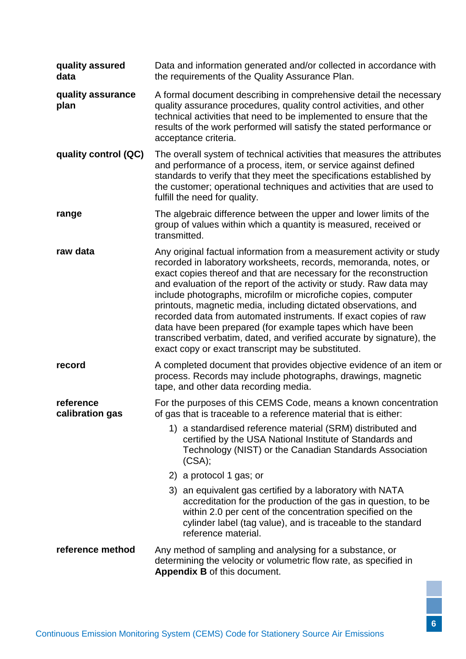| quality assured<br>data      | Data and information generated and/or collected in accordance with<br>the requirements of the Quality Assurance Plan.                                                                                                                                                                                                                                                                                                                                                                                                                                                                                                                                                                       |  |  |  |
|------------------------------|---------------------------------------------------------------------------------------------------------------------------------------------------------------------------------------------------------------------------------------------------------------------------------------------------------------------------------------------------------------------------------------------------------------------------------------------------------------------------------------------------------------------------------------------------------------------------------------------------------------------------------------------------------------------------------------------|--|--|--|
| quality assurance<br>plan    | A formal document describing in comprehensive detail the necessary<br>quality assurance procedures, quality control activities, and other<br>technical activities that need to be implemented to ensure that the<br>results of the work performed will satisfy the stated performance or<br>acceptance criteria.                                                                                                                                                                                                                                                                                                                                                                            |  |  |  |
| quality control (QC)         | The overall system of technical activities that measures the attributes<br>and performance of a process, item, or service against defined<br>standards to verify that they meet the specifications established by<br>the customer; operational techniques and activities that are used to<br>fulfill the need for quality.                                                                                                                                                                                                                                                                                                                                                                  |  |  |  |
| range                        | The algebraic difference between the upper and lower limits of the<br>group of values within which a quantity is measured, received or<br>transmitted.                                                                                                                                                                                                                                                                                                                                                                                                                                                                                                                                      |  |  |  |
| raw data                     | Any original factual information from a measurement activity or study<br>recorded in laboratory worksheets, records, memoranda, notes, or<br>exact copies thereof and that are necessary for the reconstruction<br>and evaluation of the report of the activity or study. Raw data may<br>include photographs, microfilm or microfiche copies, computer<br>printouts, magnetic media, including dictated observations, and<br>recorded data from automated instruments. If exact copies of raw<br>data have been prepared (for example tapes which have been<br>transcribed verbatim, dated, and verified accurate by signature), the<br>exact copy or exact transcript may be substituted. |  |  |  |
| record                       | A completed document that provides objective evidence of an item or<br>process. Records may include photographs, drawings, magnetic<br>tape, and other data recording media.                                                                                                                                                                                                                                                                                                                                                                                                                                                                                                                |  |  |  |
| reference<br>calibration gas | For the purposes of this CEMS Code, means a known concentration<br>of gas that is traceable to a reference material that is either:                                                                                                                                                                                                                                                                                                                                                                                                                                                                                                                                                         |  |  |  |
|                              | 1) a standardised reference material (SRM) distributed and<br>certified by the USA National Institute of Standards and<br>Technology (NIST) or the Canadian Standards Association<br>(CSA);                                                                                                                                                                                                                                                                                                                                                                                                                                                                                                 |  |  |  |
|                              | 2) a protocol 1 gas; or                                                                                                                                                                                                                                                                                                                                                                                                                                                                                                                                                                                                                                                                     |  |  |  |
|                              | an equivalent gas certified by a laboratory with NATA<br>3)<br>accreditation for the production of the gas in question, to be<br>within 2.0 per cent of the concentration specified on the<br>cylinder label (tag value), and is traceable to the standard<br>reference material.                                                                                                                                                                                                                                                                                                                                                                                                           |  |  |  |
| reference method             | Any method of sampling and analysing for a substance, or<br>determining the velocity or volumetric flow rate, as specified in<br>Appendix B of this document.                                                                                                                                                                                                                                                                                                                                                                                                                                                                                                                               |  |  |  |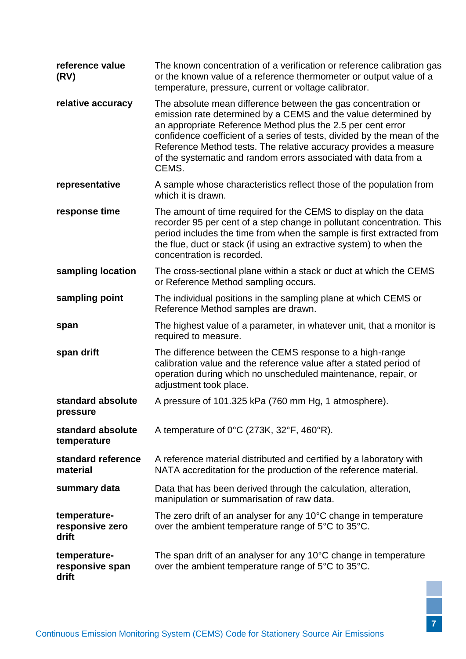| reference value<br>(RV)                                                                                                                                                                                                                                                                                                                  | The known concentration of a verification or reference calibration gas<br>or the known value of a reference thermometer or output value of a<br>temperature, pressure, current or voltage calibrator.                                                                                                                                                                                                                     |  |  |  |  |
|------------------------------------------------------------------------------------------------------------------------------------------------------------------------------------------------------------------------------------------------------------------------------------------------------------------------------------------|---------------------------------------------------------------------------------------------------------------------------------------------------------------------------------------------------------------------------------------------------------------------------------------------------------------------------------------------------------------------------------------------------------------------------|--|--|--|--|
| relative accuracy                                                                                                                                                                                                                                                                                                                        | The absolute mean difference between the gas concentration or<br>emission rate determined by a CEMS and the value determined by<br>an appropriate Reference Method plus the 2.5 per cent error<br>confidence coefficient of a series of tests, divided by the mean of the<br>Reference Method tests. The relative accuracy provides a measure<br>of the systematic and random errors associated with data from a<br>CEMS. |  |  |  |  |
| representative                                                                                                                                                                                                                                                                                                                           | A sample whose characteristics reflect those of the population from<br>which it is drawn.                                                                                                                                                                                                                                                                                                                                 |  |  |  |  |
| response time<br>The amount of time required for the CEMS to display on the data<br>recorder 95 per cent of a step change in pollutant concentration. This<br>period includes the time from when the sample is first extracted from<br>the flue, duct or stack (if using an extractive system) to when the<br>concentration is recorded. |                                                                                                                                                                                                                                                                                                                                                                                                                           |  |  |  |  |
| sampling location                                                                                                                                                                                                                                                                                                                        | The cross-sectional plane within a stack or duct at which the CEMS<br>or Reference Method sampling occurs.                                                                                                                                                                                                                                                                                                                |  |  |  |  |
| sampling point<br>The individual positions in the sampling plane at which CEMS or<br>Reference Method samples are drawn.                                                                                                                                                                                                                 |                                                                                                                                                                                                                                                                                                                                                                                                                           |  |  |  |  |
| The highest value of a parameter, in whatever unit, that a monitor is<br>span<br>required to measure.                                                                                                                                                                                                                                    |                                                                                                                                                                                                                                                                                                                                                                                                                           |  |  |  |  |
| span drift                                                                                                                                                                                                                                                                                                                               | The difference between the CEMS response to a high-range<br>calibration value and the reference value after a stated period of<br>operation during which no unscheduled maintenance, repair, or<br>adjustment took place.                                                                                                                                                                                                 |  |  |  |  |
| standard absolute<br>pressure                                                                                                                                                                                                                                                                                                            | A pressure of 101.325 kPa (760 mm Hg, 1 atmosphere).                                                                                                                                                                                                                                                                                                                                                                      |  |  |  |  |
| standard absolute<br>temperature                                                                                                                                                                                                                                                                                                         | A temperature of 0°C (273K, 32°F, 460°R).                                                                                                                                                                                                                                                                                                                                                                                 |  |  |  |  |
| standard reference<br>material                                                                                                                                                                                                                                                                                                           | A reference material distributed and certified by a laboratory with<br>NATA accreditation for the production of the reference material.                                                                                                                                                                                                                                                                                   |  |  |  |  |
| summary data                                                                                                                                                                                                                                                                                                                             | Data that has been derived through the calculation, alteration,<br>manipulation or summarisation of raw data.                                                                                                                                                                                                                                                                                                             |  |  |  |  |
| temperature-<br>responsive zero<br>drift                                                                                                                                                                                                                                                                                                 | The zero drift of an analyser for any $10^{\circ}$ C change in temperature<br>over the ambient temperature range of 5°C to 35°C.                                                                                                                                                                                                                                                                                          |  |  |  |  |
| temperature-<br>responsive span<br>drift                                                                                                                                                                                                                                                                                                 | The span drift of an analyser for any 10°C change in temperature<br>over the ambient temperature range of 5°C to 35°C.                                                                                                                                                                                                                                                                                                    |  |  |  |  |
|                                                                                                                                                                                                                                                                                                                                          | Emission Monitoring System (CEMS) Code for Stationary Source Air Emission                                                                                                                                                                                                                                                                                                                                                 |  |  |  |  |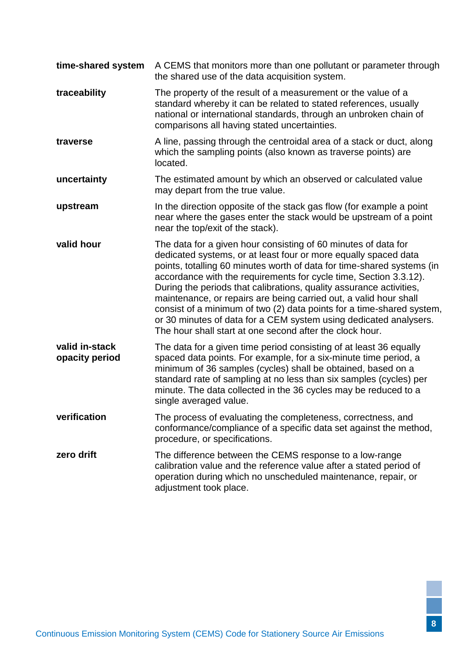| time-shared system               | A CEMS that monitors more than one pollutant or parameter through<br>the shared use of the data acquisition system.                                                                                                                                                                                                                                                                                                                                                                                                                                                                                                                    |  |  |  |
|----------------------------------|----------------------------------------------------------------------------------------------------------------------------------------------------------------------------------------------------------------------------------------------------------------------------------------------------------------------------------------------------------------------------------------------------------------------------------------------------------------------------------------------------------------------------------------------------------------------------------------------------------------------------------------|--|--|--|
| traceability                     | The property of the result of a measurement or the value of a<br>standard whereby it can be related to stated references, usually<br>national or international standards, through an unbroken chain of<br>comparisons all having stated uncertainties.                                                                                                                                                                                                                                                                                                                                                                                 |  |  |  |
| traverse                         | A line, passing through the centroidal area of a stack or duct, along<br>which the sampling points (also known as traverse points) are<br>located.                                                                                                                                                                                                                                                                                                                                                                                                                                                                                     |  |  |  |
| uncertainty                      | The estimated amount by which an observed or calculated value<br>may depart from the true value.                                                                                                                                                                                                                                                                                                                                                                                                                                                                                                                                       |  |  |  |
| upstream                         | In the direction opposite of the stack gas flow (for example a point<br>near where the gases enter the stack would be upstream of a point<br>near the top/exit of the stack).                                                                                                                                                                                                                                                                                                                                                                                                                                                          |  |  |  |
| valid hour                       | The data for a given hour consisting of 60 minutes of data for<br>dedicated systems, or at least four or more equally spaced data<br>points, totalling 60 minutes worth of data for time-shared systems (in<br>accordance with the requirements for cycle time, Section 3.3.12).<br>During the periods that calibrations, quality assurance activities,<br>maintenance, or repairs are being carried out, a valid hour shall<br>consist of a minimum of two (2) data points for a time-shared system,<br>or 30 minutes of data for a CEM system using dedicated analysers.<br>The hour shall start at one second after the clock hour. |  |  |  |
| valid in-stack<br>opacity period | The data for a given time period consisting of at least 36 equally<br>spaced data points. For example, for a six-minute time period, a<br>minimum of 36 samples (cycles) shall be obtained, based on a<br>standard rate of sampling at no less than six samples (cycles) per<br>minute. The data collected in the 36 cycles may be reduced to a<br>single averaged value.                                                                                                                                                                                                                                                              |  |  |  |
| verification                     | The process of evaluating the completeness, correctness, and<br>conformance/compliance of a specific data set against the method,<br>procedure, or specifications.                                                                                                                                                                                                                                                                                                                                                                                                                                                                     |  |  |  |
| zero drift                       | The difference between the CEMS response to a low-range<br>calibration value and the reference value after a stated period of<br>operation during which no unscheduled maintenance, repair, or<br>adjustment took place.                                                                                                                                                                                                                                                                                                                                                                                                               |  |  |  |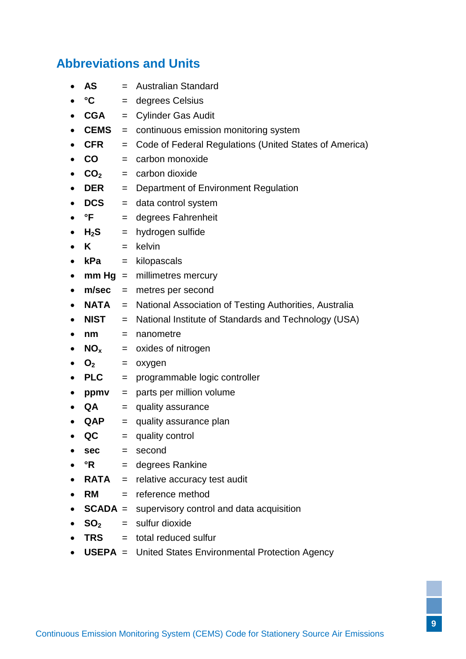# <span id="page-13-0"></span>**Abbreviations and Units**

- **AS** = Australian Standard
- $^{\circ}$ C = degrees Celsius
- CGA = Cylinder Gas Audit
- **CEMS** = continuous emission monitoring system
- **CFR** = Code of Federal Regulations (United States of America)
- **CO** = carbon monoxide
- $\bullet$  **CO**<sub>2</sub> = carbon dioxide
- **DER** = Department of Environment Regulation
- **DCS** = data control system
- **°F** = degrees Fahrenheit
- $\bullet$  **H<sub>2</sub>S** = hydrogen sulfide
- $\bullet$  **K**  $=$  kelvin
- **kPa** = kilopascals
- **mm Hg** = millimetres mercury
- **m/sec** = metres per second
- **NATA** = National Association of Testing Authorities, Australia
- **NIST** = National Institute of Standards and Technology (USA)
- **nm** = nanometre
- $\bullet$  **NO** $x$  = oxides of nitrogen
- $\bullet$  **O**<sub>2</sub> = oxygen
- PLC = programmable logic controller
- **ppmv** = parts per million volume
- QA = quality assurance
- **QAP** = quality assurance plan
- **QC** = quality control
- **sec** = second
- **°R** = degrees Rankine
- **RATA** = relative accuracy test audit
- **RM** = reference method
- **SCADA** = supervisory control and data acquisition
- $\bullet$  **SO**<sub>2</sub> = sulfur dioxide
- **TRS** = total reduced sulfur
- **USEPA** = United States Environmental Protection Agency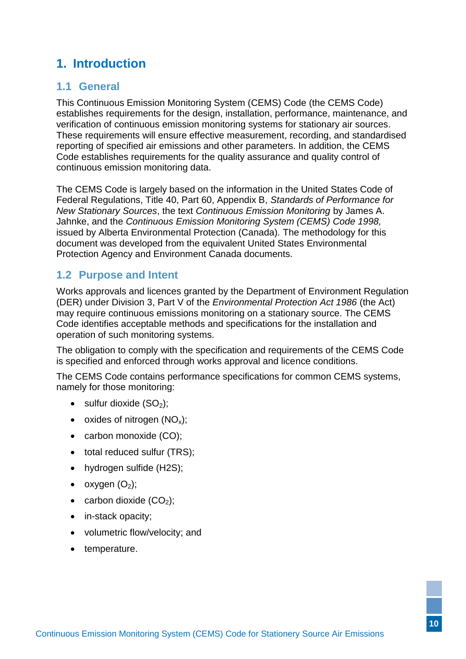# <span id="page-14-0"></span>**1. Introduction**

### <span id="page-14-1"></span>**1.1 General**

This Continuous Emission Monitoring System (CEMS) Code (the CEMS Code) establishes requirements for the design, installation, performance, maintenance, and verification of continuous emission monitoring systems for stationary air sources. These requirements will ensure effective measurement, recording, and standardised reporting of specified air emissions and other parameters. In addition, the CEMS Code establishes requirements for the quality assurance and quality control of continuous emission monitoring data.

The CEMS Code is largely based on the information in the United States Code of Federal Regulations, Title 40, Part 60, Appendix B, *Standards of Performance for New Stationary Sources*, the text *Continuous Emission Monitoring* by James A. Jahnke, and the *Continuous Emission Monitoring System (CEMS) Code 1998,* issued by Alberta Environmental Protection (Canada)*.* The methodology for this document was developed from the equivalent United States Environmental Protection Agency and Environment Canada documents.

### <span id="page-14-2"></span>**1.2 Purpose and Intent**

Works approvals and licences granted by the Department of Environment Regulation (DER) under Division 3, Part V of the *Environmental Protection Act 1986* (the Act) may require continuous emissions monitoring on a stationary source. The CEMS Code identifies acceptable methods and specifications for the installation and operation of such monitoring systems.

The obligation to comply with the specification and requirements of the CEMS Code is specified and enforced through works approval and licence conditions.

The CEMS Code contains performance specifications for common CEMS systems, namely for those monitoring:

- $\bullet$  sulfur dioxide (SO<sub>2</sub>);
- oxides of nitrogen  $(NO_x)$ ;
- carbon monoxide (CO);
- total reduced sulfur (TRS);
- hydrogen sulfide (H2S);
- oxygen  $(O_2)$ ;
- carbon dioxide  $(CO<sub>2</sub>)$ ;
- in-stack opacity;
- volumetric flow/velocity; and
- temperature.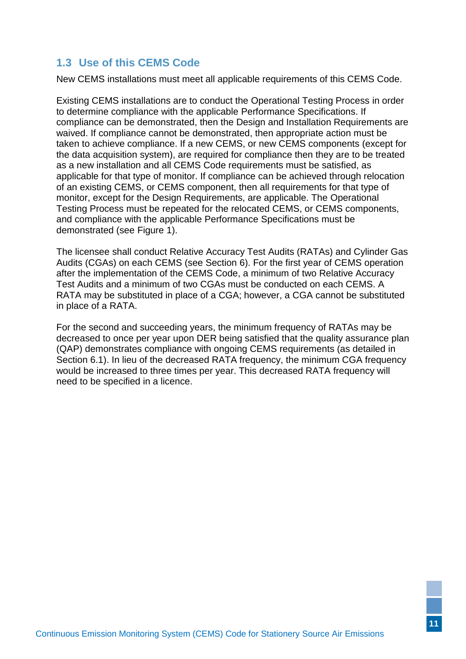# <span id="page-15-0"></span>**1.3 Use of this CEMS Code**

New CEMS installations must meet all applicable requirements of this CEMS Code.

Existing CEMS installations are to conduct the [Operational Testing Process](#page-35-1) in order to determine compliance with the applicable [Performance Specifications.](#page-32-3) If compliance can be demonstrated, then the Design and Installation Requirements are waived. If compliance cannot be demonstrated, then appropriate action must be taken to achieve compliance. If a new CEMS, or new CEMS components (except for the data acquisition system), are required for compliance then they are to be treated as a new installation and all CEMS Code requirements must be satisfied, as applicable for that type of monitor. If compliance can be achieved through relocation of an existing CEMS, or CEMS component, then all requirements for that type of monitor, except for the Design Requirements, are applicable. The [Operational](#page-35-1)  [Testing Process](#page-35-1) must be repeated for the relocated CEMS, or CEMS components, and compliance with the applicable [Performance Specifications](#page-32-3) must be demonstrated (see [Figure 1\)](#page-16-0).

The licensee shall conduct Relative Accuracy Test Audits (RATAs) and Cylinder Gas Audits (CGAs) on each CEMS (see Section [6\)](#page-47-4). For the first year of CEMS operation after the implementation of the CEMS Code, a minimum of two Relative Accuracy Test Audits and a minimum of two CGAs must be conducted on each CEMS. A RATA may be substituted in place of a CGA; however, a CGA cannot be substituted in place of a RATA.

For the second and succeeding years, the minimum frequency of RATAs may be decreased to once per year upon DER being satisfied that the quality assurance plan (QAP) demonstrates compliance with ongoing CEMS requirements (as detailed in Section [6.1\)](#page-47-5). In lieu of the decreased RATA frequency, the minimum CGA frequency would be increased to three times per year. This decreased RATA frequency will need to be specified in a licence.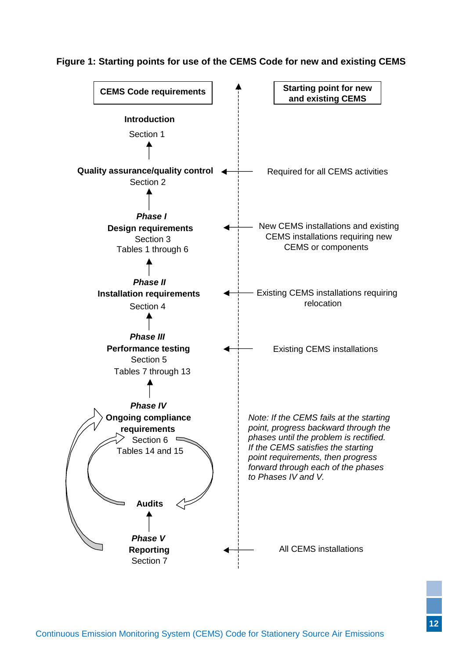#### <span id="page-16-0"></span>**Figure 1: Starting points for use of the CEMS Code for new and existing CEMS**

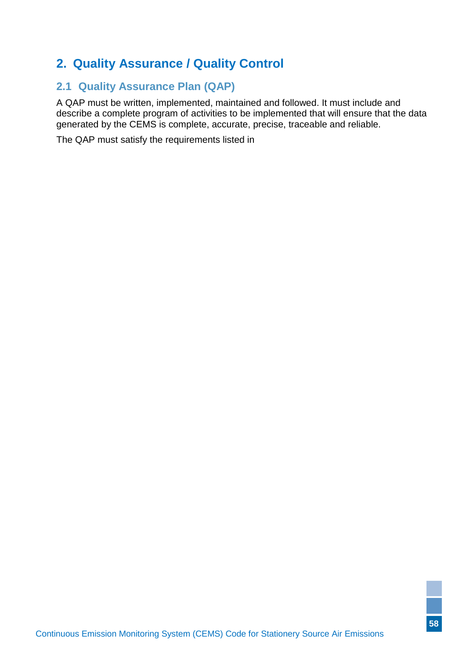# <span id="page-17-0"></span>**2. Quality Assurance / Quality Control**

# <span id="page-17-1"></span>**2.1 Quality Assurance Plan (QAP)**

A QAP must be written, implemented, maintained and followed. It must include and describe a complete program of activities to be implemented that will ensure that the data generated by the CEMS is complete, accurate, precise, traceable and reliable.

The QAP must satisfy the requirements listed in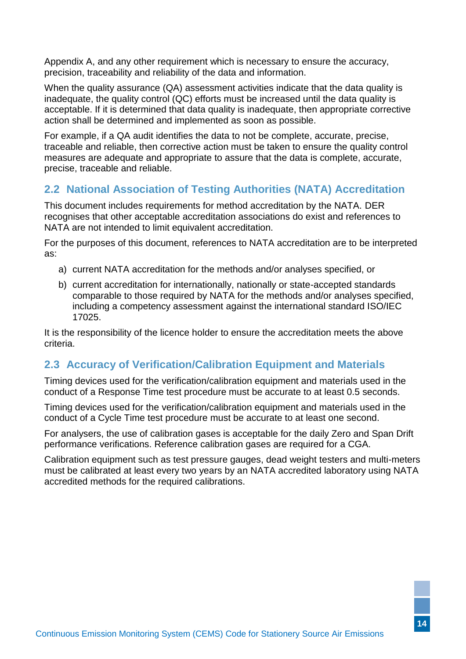[Appendix A,](#page-55-2) and any other requirement which is necessary to ensure the accuracy, precision, traceability and reliability of the data and information.

When the quality assurance (QA) assessment activities indicate that the data quality is inadequate, the quality control (QC) efforts must be increased until the data quality is acceptable. If it is determined that data quality is inadequate, then appropriate corrective action shall be determined and implemented as soon as possible.

For example, if a QA audit identifies the data to not be complete, accurate, precise, traceable and reliable, then corrective action must be taken to ensure the quality control measures are adequate and appropriate to assure that the data is complete, accurate, precise, traceable and reliable.

# <span id="page-18-2"></span><span id="page-18-0"></span>**2.2 National Association of Testing Authorities (NATA) Accreditation**

This document includes requirements for method accreditation by the NATA. DER recognises that other acceptable accreditation associations do exist and references to NATA are not intended to limit equivalent accreditation.

For the purposes of this document, references to NATA accreditation are to be interpreted as:

- a) current NATA accreditation for the methods and/or analyses specified, or
- <span id="page-18-3"></span>b) current accreditation for internationally, nationally or state-accepted standards comparable to those required by NATA for the methods and/or analyses specified, including a competency assessment against the international standard ISO/IEC 17025.

It is the responsibility of the licence holder to ensure the accreditation meets the above criteria.

### <span id="page-18-1"></span>**2.3 Accuracy of Verification/Calibration Equipment and Materials**

Timing devices used for the verification/calibration equipment and materials used in the conduct of a Response Time test procedure must be accurate to at least 0.5 seconds.

Timing devices used for the verification/calibration equipment and materials used in the conduct of a Cycle Time test procedure must be accurate to at least one second.

For analysers, the use of calibration gases is acceptable for the daily Zero and Span Drift performance verifications. Reference calibration gases are required for a CGA.

Calibration equipment such as test pressure gauges, dead weight testers and multi-meters must be calibrated at least every two years by an NATA accredited laboratory using NATA accredited methods for the required calibrations.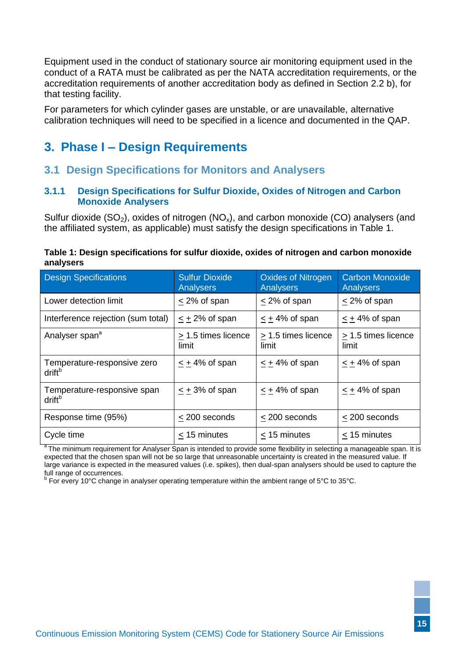Equipment used in the conduct of stationary source air monitoring equipment used in the conduct of a RATA must be calibrated as per the NATA accreditation requirements, or the accreditation requirements of another accreditation body as defined in Section [2.2](#page-18-2) [b\),](#page-18-3) for that testing facility.

For parameters for which cylinder gases are unstable, or are unavailable, alternative calibration techniques will need to be specified in a licence and documented in the QAP.

# <span id="page-19-0"></span>**3. Phase I – Design Requirements**

### <span id="page-19-1"></span>**3.1 Design Specifications for Monitors and Analysers**

#### <span id="page-19-2"></span>**3.1.1 Design Specifications for Sulfur Dioxide, Oxides of Nitrogen and Carbon Monoxide Analysers**

Sulfur dioxide  $(SO_2)$ , oxides of nitrogen  $(NO_x)$ , and carbon monoxide  $(CO)$  analysers (and the affiliated system, as applicable) must satisfy the design specifications in Table 1.

<span id="page-19-3"></span>

| Table 1: Design specifications for sulfur dioxide, oxides of nitrogen and carbon monoxide |  |  |
|-------------------------------------------------------------------------------------------|--|--|
| analysers                                                                                 |  |  |

| <b>Design Specifications</b>                      | <b>Sulfur Dioxide</b><br><b>Analysers</b> | <b>Oxides of Nitrogen</b><br>Analysers | <b>Carbon Monoxide</b><br>Analysers |
|---------------------------------------------------|-------------------------------------------|----------------------------------------|-------------------------------------|
| Lower detection limit                             | $\leq$ 2% of span                         | $\leq$ 2% of span                      | $\leq$ 2% of span                   |
| Interference rejection (sum total)                | $\leq$ + 2% of span                       | $\leq$ + 4% of span                    | $\leq$ + 4% of span                 |
| Analyser span <sup>a</sup>                        | $\geq$ 1.5 times licence<br>limit         | $\geq$ 1.5 times licence<br>limit      | $\geq$ 1.5 times licence<br>limit   |
| Temperature-responsive zero<br>drift <sup>b</sup> | $< +4\%$ of span                          | $< +4\%$ of span                       | $< +4\%$ of span                    |
| Temperature-responsive span<br>drift <sup>b</sup> | $< +3\%$ of span                          | $< +4\%$ of span                       | $\leq$ + 4% of span                 |
| Response time (95%)                               | $\leq$ 200 seconds                        | $\leq$ 200 seconds                     | $\leq$ 200 seconds                  |
| Cycle time                                        | < 15 minutes                              | < 15 minutes                           | < 15 minutes                        |

<sup>a</sup>The minimum requirement for Analyser Span is intended to provide some flexibility in selecting a manageable span. It is expected that the chosen span will not be so large that unreasonable uncertainty is created in the measured value. If large variance is expected in the measured values (i.e. spikes), then dual-span analysers should be used to capture the full range of occurrences.

<sup>b</sup> For every 10°C change in analyser operating temperature within the ambient range of 5°C to 35°C.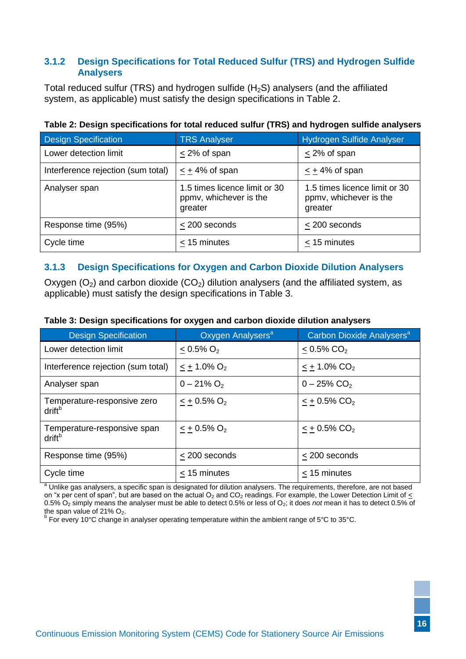#### <span id="page-20-0"></span>**3.1.2 Design Specifications for Total Reduced Sulfur (TRS) and Hydrogen Sulfide Analysers**

Total reduced sulfur (TRS) and hydrogen sulfide  $(H_2S)$  analysers (and the affiliated system, as applicable) must satisfy the design specifications in Table 2.

| <b>Design Specification</b>        | <b>TRS Analyser</b>                                                | <b>Hydrogen Sulfide Analyser</b>                                   |
|------------------------------------|--------------------------------------------------------------------|--------------------------------------------------------------------|
| Lower detection limit              | $<$ 2% of span                                                     | < 2% of span                                                       |
| Interference rejection (sum total) | $< +4\%$ of span                                                   | $\leq$ + 4% of span                                                |
| Analyser span                      | 1.5 times licence limit or 30<br>ppmv, whichever is the<br>greater | 1.5 times licence limit or 30<br>ppmv, whichever is the<br>greater |
| Response time (95%)                | < 200 seconds                                                      | < 200 seconds                                                      |
| Cycle time                         | $<$ 15 minutes                                                     | $<$ 15 minutes                                                     |

#### **Table 2: Design specifications for total reduced sulfur (TRS) and hydrogen sulfide analysers**

#### <span id="page-20-1"></span>**3.1.3 Design Specifications for Oxygen and Carbon Dioxide Dilution Analysers**

Oxygen  $(O_2)$  and carbon dioxide  $(CO_2)$  dilution analysers (and the affiliated system, as applicable) must satisfy the design specifications in Table 3.

| <b>Design Specification</b>                       | Oxygen Analysers <sup>a</sup> | Carbon Dioxide Analysers <sup>a</sup> |
|---------------------------------------------------|-------------------------------|---------------------------------------|
| Lower detection limit                             | $< 0.5\% O_2$                 | $< 0.5\%$ CO <sub>2</sub>             |
| Interference rejection (sum total)                | $\leq$ + 1.0% O <sub>2</sub>  | $\le$ + 1.0% CO <sub>2</sub>          |
| Analyser span                                     | $0 - 21\% O_2$                | $0 - 25\%$ CO <sub>2</sub>            |
| Temperature-responsive zero<br>drift <sup>b</sup> | $\leq$ + 0.5% O <sub>2</sub>  | $< +0.5\%$ CO <sub>2</sub>            |
| Temperature-responsive span<br>drift <sup>b</sup> | $\leq$ + 0.5% O <sub>2</sub>  | $\leq$ + 0.5% CO <sub>2</sub>         |
| Response time (95%)                               | $<$ 200 seconds               | < 200 seconds                         |
| Cycle time                                        | $<$ 15 minutes                | < 15 minutes                          |

#### **Table 3: Design specifications for oxygen and carbon dioxide dilution analysers**

<sup>a</sup> Unlike gas analysers, a specific span is designated for dilution analysers. The requirements, therefore, are not based on "x per cent of span", but are based on the actual  $O_2$  and  $CO_2$  readings. For example, the Lower Detection Limit of  $\leq$ 0.5% O<sup>2</sup> simply means the analyser must be able to detect 0.5% or less of O2; it does *not* mean it has to detect 0.5% of

the span value of 21% O<sub>2</sub>.<br><sup>b</sup> For every 10°C change in analyser operating temperature within the ambient range of 5°C to 35°C.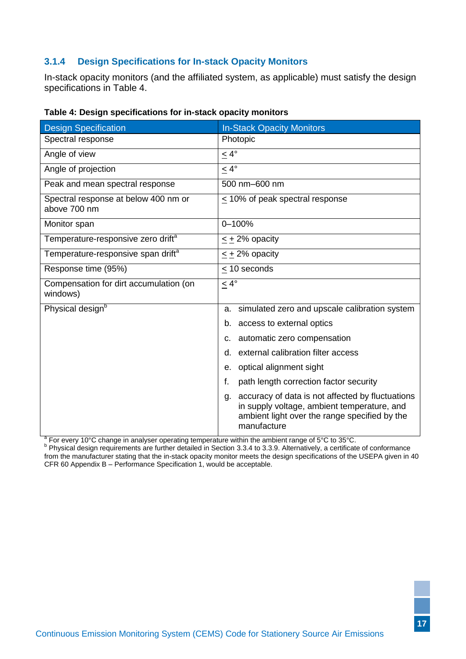### <span id="page-21-0"></span>**3.1.4 Design Specifications for In-stack Opacity Monitors**

In-stack opacity monitors (and the affiliated system, as applicable) must satisfy the design specifications in Table 4.

| <b>Design Specification</b>                          | <b>In-Stack Opacity Monitors</b>                                                                                                                                      |
|------------------------------------------------------|-----------------------------------------------------------------------------------------------------------------------------------------------------------------------|
| Spectral response                                    | Photopic                                                                                                                                                              |
| Angle of view                                        | $\leq 4^{\circ}$                                                                                                                                                      |
| Angle of projection                                  | $\leq 4^{\circ}$                                                                                                                                                      |
| Peak and mean spectral response                      | 500 nm-600 nm                                                                                                                                                         |
| Spectral response at below 400 nm or<br>above 700 nm | $\leq$ 10% of peak spectral response                                                                                                                                  |
| Monitor span                                         | 0-100%                                                                                                                                                                |
| Temperature-responsive zero drift <sup>a</sup>       | $\leq$ + 2% opacity                                                                                                                                                   |
| Temperature-responsive span drift <sup>a</sup>       | $\leq$ + 2% opacity                                                                                                                                                   |
| Response time (95%)                                  | $\leq$ 10 seconds                                                                                                                                                     |
| Compensation for dirt accumulation (on<br>windows)   | $\leq 4^{\circ}$                                                                                                                                                      |
| Physical design <sup>b</sup>                         | simulated zero and upscale calibration system<br>a.                                                                                                                   |
|                                                      | b.<br>access to external optics                                                                                                                                       |
|                                                      | automatic zero compensation<br>c.                                                                                                                                     |
|                                                      | external calibration filter access<br>d.                                                                                                                              |
|                                                      | optical alignment sight<br>е.                                                                                                                                         |
|                                                      | f.<br>path length correction factor security                                                                                                                          |
|                                                      | accuracy of data is not affected by fluctuations<br>g.<br>in supply voltage, ambient temperature, and<br>ambient light over the range specified by the<br>manufacture |

|  |  | Table 4: Design specifications for in-stack opacity monitors |  |
|--|--|--------------------------------------------------------------|--|
|--|--|--------------------------------------------------------------|--|

<sup>a</sup> For every 10°C change in analyser operating temperature within the ambient range of 5°C to 35°C.<br><sup>b</sup> Physical design requirements are further detailed in Section [3.3.4](#page-24-4) to [3.3.9.](#page-25-6) Alternatively, a certificate of conforma from the manufacturer stating that the in-stack opacity monitor meets the design specifications of the USEPA given in 40 CFR 60 Appendix B – Performance Specification 1, would be acceptable.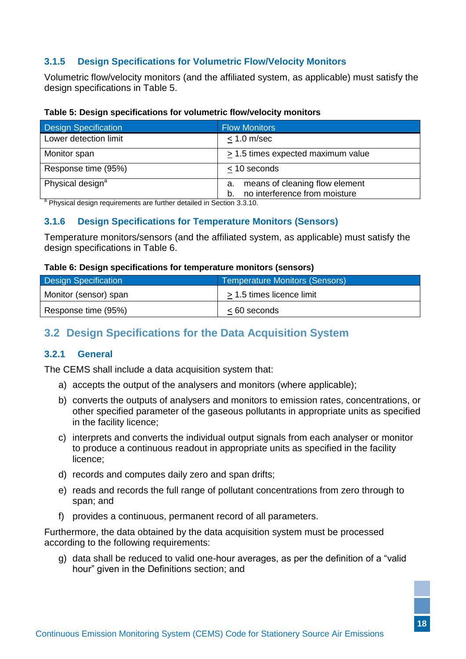### <span id="page-22-0"></span>**3.1.5 Design Specifications for Volumetric Flow/Velocity Monitors**

Volumetric flow/velocity monitors (and the affiliated system, as applicable) must satisfy the design specifications in Table 5.

#### **Table 5: Design specifications for volumetric flow/velocity monitors**

| <b>Design Specification</b>  | <b>Flow Monitors</b>                                                        |
|------------------------------|-----------------------------------------------------------------------------|
| Lower detection limit        | $< 1.0$ m/sec                                                               |
| Monitor span                 | $\geq$ 1.5 times expected maximum value                                     |
| Response time (95%)          | $<$ 10 seconds                                                              |
| Physical design <sup>a</sup> | means of cleaning flow element<br>а.<br>no interference from moisture<br>b. |

<span id="page-22-1"></span><sup>a</sup> Physical design requirements are further detailed in Section [3.3.10.](#page-25-7)

#### **3.1.6 Design Specifications for Temperature Monitors (Sensors)**

Temperature monitors/sensors (and the affiliated system, as applicable) must satisfy the design specifications in Table 6.

#### <span id="page-22-5"></span>**Table 6: Design specifications for temperature monitors (sensors)**

| <b>Design Specification</b> | <b>Temperature Monitors (Sensors)</b> |
|-----------------------------|---------------------------------------|
| Monitor (sensor) span       | > 1.5 times licence limit             |
| Response time (95%)         | $< 60$ seconds                        |

# <span id="page-22-2"></span>**3.2 Design Specifications for the Data Acquisition System**

#### <span id="page-22-4"></span><span id="page-22-3"></span>**3.2.1 General**

The CEMS shall include a data acquisition system that:

- a) accepts the output of the analysers and monitors (where applicable);
- b) converts the outputs of analysers and monitors to emission rates, concentrations, or other specified parameter of the gaseous pollutants in appropriate units as specified in the facility licence;
- c) interprets and converts the individual output signals from each analyser or monitor to produce a continuous readout in appropriate units as specified in the facility licence;
- d) records and computes daily zero and span drifts;
- e) reads and records the full range of pollutant concentrations from zero through to span; and
- f) provides a continuous, permanent record of all parameters.

Furthermore, the data obtained by the data acquisition system must be processed according to the following requirements:

<span id="page-22-6"></span>g) data shall be reduced to valid one-hour averages, as per the definition of a "valid hour" given in the Definitions section; and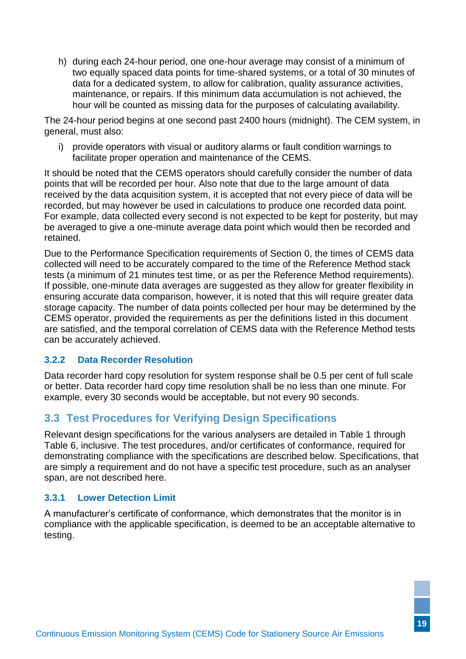h) during each 24-hour period, one one-hour average may consist of a minimum of two equally spaced data points for time-shared systems, or a total of 30 minutes of data for a dedicated system, to allow for calibration, quality assurance activities, maintenance, or repairs. If this minimum data accumulation is not achieved, the hour will be counted as missing data for the purposes of calculating availability.

The 24-hour period begins at one second past 2400 hours (midnight). The CEM system, in general, must also:

i) provide operators with visual or auditory alarms or fault condition warnings to facilitate proper operation and maintenance of the CEMS.

It should be noted that the CEMS operators should carefully consider the number of data points that will be recorded per hour. Also note that due to the large amount of data received by the data acquisition system, it is accepted that not every piece of data will be recorded, but may however be used in calculations to produce one recorded data point. For example, data collected every second is not expected to be kept for posterity, but may be averaged to give a one-minute average data point which would then be recorded and retained.

Due to the Performance Specification requirements of Section [0,](#page-40-1) the times of CEMS data collected will need to be accurately compared to the time of the Reference Method stack tests (a minimum of 21 minutes test time, or as per the Reference Method requirements). If possible, one-minute data averages are suggested as they allow for greater flexibility in ensuring accurate data comparison, however, it is noted that this will require greater data storage capacity. The number of data points collected per hour may be determined by the CEMS operator, provided the requirements as per the definitions listed in this document are satisfied, and the temporal correlation of CEMS data with the Reference Method tests can be accurately achieved.

#### <span id="page-23-0"></span>**3.2.2 Data Recorder Resolution**

Data recorder hard copy resolution for system response shall be 0.5 per cent of full scale or better. Data recorder hard copy time resolution shall be no less than one minute. For example, every 30 seconds would be acceptable, but not every 90 seconds.

# <span id="page-23-1"></span>**3.3 Test Procedures for Verifying Design Specifications**

Relevant design specifications for the various analysers are detailed in [Table 1](#page-19-3) through [Table 6,](#page-22-5) inclusive. The test procedures, and/or certificates of conformance, required for demonstrating compliance with the specifications are described below. Specifications, that are simply a requirement and do not have a specific test procedure, such as an analyser span, are not described here.

#### <span id="page-23-2"></span>**3.3.1 Lower Detection Limit**

A manufacturer's certificate of conformance, which demonstrates that the monitor is in compliance with the applicable specification, is deemed to be an acceptable alternative to testing.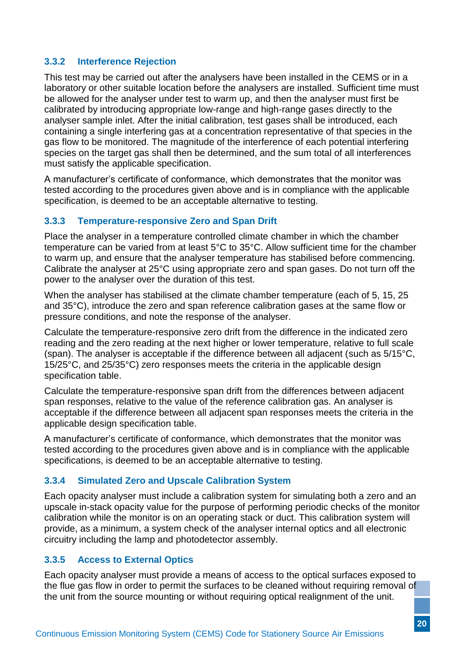#### <span id="page-24-0"></span>**3.3.2 Interference Rejection**

This test may be carried out after the analysers have been installed in the CEMS or in a laboratory or other suitable location before the analysers are installed. Sufficient time must be allowed for the analyser under test to warm up, and then the analyser must first be calibrated by introducing appropriate low-range and high-range gases directly to the analyser sample inlet. After the initial calibration, test gases shall be introduced, each containing a single interfering gas at a concentration representative of that species in the gas flow to be monitored. The magnitude of the interference of each potential interfering species on the target gas shall then be determined, and the sum total of all interferences must satisfy the applicable specification.

A manufacturer's certificate of conformance, which demonstrates that the monitor was tested according to the procedures given above and is in compliance with the applicable specification, is deemed to be an acceptable alternative to testing.

#### <span id="page-24-1"></span>**3.3.3 Temperature-responsive Zero and Span Drift**

Place the analyser in a temperature controlled climate chamber in which the chamber temperature can be varied from at least 5°C to 35°C. Allow sufficient time for the chamber to warm up, and ensure that the analyser temperature has stabilised before commencing. Calibrate the analyser at 25°C using appropriate zero and span gases. Do not turn off the power to the analyser over the duration of this test.

When the analyser has stabilised at the climate chamber temperature (each of 5, 15, 25 and 35°C), introduce the zero and span reference calibration gases at the same flow or pressure conditions, and note the response of the analyser.

Calculate the temperature-responsive zero drift from the difference in the indicated zero reading and the zero reading at the next higher or lower temperature, relative to full scale (span). The analyser is acceptable if the difference between all adjacent (such as 5/15°C, 15/25°C, and 25/35°C) zero responses meets the criteria in the applicable design specification table.

Calculate the temperature-responsive span drift from the differences between adjacent span responses, relative to the value of the reference calibration gas. An analyser is acceptable if the difference between all adjacent span responses meets the criteria in the applicable design specification table.

A manufacturer's certificate of conformance, which demonstrates that the monitor was tested according to the procedures given above and is in compliance with the applicable specifications, is deemed to be an acceptable alternative to testing.

#### <span id="page-24-4"></span><span id="page-24-2"></span>**3.3.4 Simulated Zero and Upscale Calibration System**

Each opacity analyser must include a calibration system for simulating both a zero and an upscale in-stack opacity value for the purpose of performing periodic checks of the monitor calibration while the monitor is on an operating stack or duct. This calibration system will provide, as a minimum, a system check of the analyser internal optics and all electronic circuitry including the lamp and photodetector assembly.

#### <span id="page-24-3"></span>**3.3.5 Access to External Optics**

Each opacity analyser must provide a means of access to the optical surfaces exposed to the flue gas flow in order to permit the surfaces to be cleaned without requiring removal of the unit from the source mounting or without requiring optical realignment of the unit.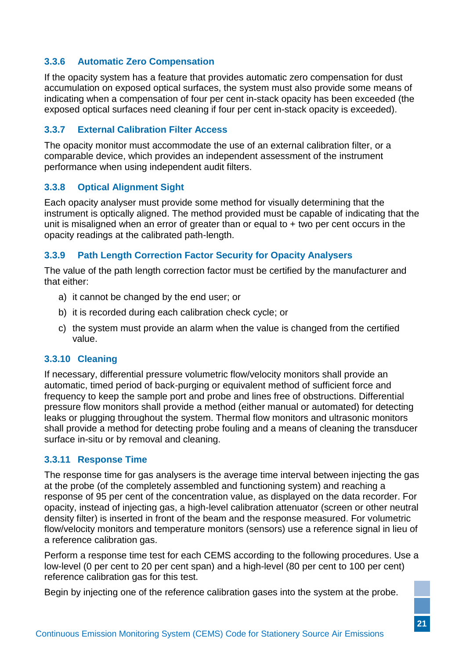#### <span id="page-25-0"></span>**3.3.6 Automatic Zero Compensation**

If the opacity system has a feature that provides automatic zero compensation for dust accumulation on exposed optical surfaces, the system must also provide some means of indicating when a compensation of four per cent in-stack opacity has been exceeded (the exposed optical surfaces need cleaning if four per cent in-stack opacity is exceeded).

#### <span id="page-25-1"></span>**3.3.7 External Calibration Filter Access**

The opacity monitor must accommodate the use of an external calibration filter, or a comparable device, which provides an independent assessment of the instrument performance when using independent audit filters.

#### <span id="page-25-2"></span>**3.3.8 Optical Alignment Sight**

Each opacity analyser must provide some method for visually determining that the instrument is optically aligned. The method provided must be capable of indicating that the unit is misaligned when an error of greater than or equal to  $+$  two per cent occurs in the opacity readings at the calibrated path-length.

#### <span id="page-25-6"></span><span id="page-25-3"></span>**3.3.9 Path Length Correction Factor Security for Opacity Analysers**

The value of the path length correction factor must be certified by the manufacturer and that either:

- a) it cannot be changed by the end user; or
- b) it is recorded during each calibration check cycle; or
- c) the system must provide an alarm when the value is changed from the certified value.

#### <span id="page-25-7"></span><span id="page-25-4"></span>**3.3.10 Cleaning**

If necessary, differential pressure volumetric flow/velocity monitors shall provide an automatic, timed period of back-purging or equivalent method of sufficient force and frequency to keep the sample port and probe and lines free of obstructions. Differential pressure flow monitors shall provide a method (either manual or automated) for detecting leaks or plugging throughout the system. Thermal flow monitors and ultrasonic monitors shall provide a method for detecting probe fouling and a means of cleaning the transducer surface in-situ or by removal and cleaning.

#### <span id="page-25-8"></span><span id="page-25-5"></span>**3.3.11 Response Time**

The response time for gas analysers is the average time interval between injecting the gas at the probe (of the completely assembled and functioning system) and reaching a response of 95 per cent of the concentration value, as displayed on the data recorder. For opacity, instead of injecting gas, a high-level calibration attenuator (screen or other neutral density filter) is inserted in front of the beam and the response measured. For volumetric flow/velocity monitors and temperature monitors (sensors) use a reference signal in lieu of a reference calibration gas.

Perform a response time test for each CEMS according to the following procedures. Use a low-level (0 per cent to 20 per cent span) and a high-level (80 per cent to 100 per cent) reference calibration gas for this test.

Begin by injecting one of the reference calibration gases into the system at the probe.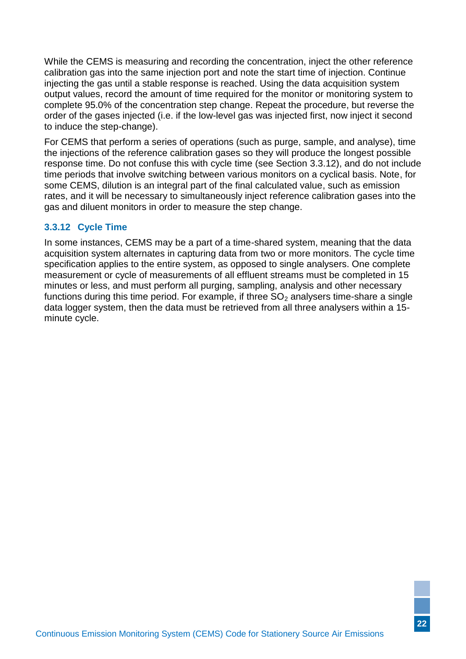While the CEMS is measuring and recording the concentration, inject the other reference calibration gas into the same injection port and note the start time of injection. Continue injecting the gas until a stable response is reached. Using the data acquisition system output values, record the amount of time required for the monitor or monitoring system to complete 95.0% of the concentration step change. Repeat the procedure, but reverse the order of the gases injected (i.e. if the low-level gas was injected first, now inject it second to induce the step-change).

For CEMS that perform a series of operations (such as purge, sample, and analyse), time the injections of the reference calibration gases so they will produce the longest possible response time. Do not confuse this with cycle time (see Section [3.3.12\)](#page-26-1), and do not include time periods that involve switching between various monitors on a cyclical basis. Note, for some CEMS, dilution is an integral part of the final calculated value, such as emission rates, and it will be necessary to simultaneously inject reference calibration gases into the gas and diluent monitors in order to measure the step change.

#### <span id="page-26-1"></span><span id="page-26-0"></span>**3.3.12 Cycle Time**

In some instances, CEMS may be a part of a time-shared system, meaning that the data acquisition system alternates in capturing data from two or more monitors. The cycle time specification applies to the entire system, as opposed to single analysers. One complete measurement or cycle of measurements of all effluent streams must be completed in 15 minutes or less, and must perform all purging, sampling, analysis and other necessary functions during this time period. For example, if three  $SO<sub>2</sub>$  analysers time-share a single data logger system, then the data must be retrieved from all three analysers within a 15 minute cycle.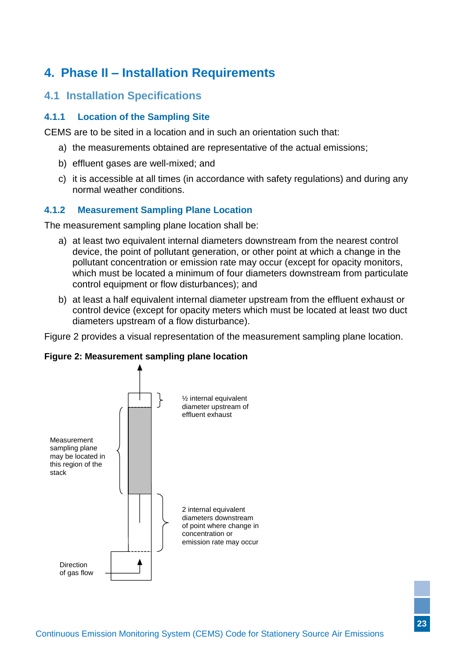# <span id="page-27-0"></span>**4. Phase II – Installation Requirements**

### <span id="page-27-1"></span>**4.1 Installation Specifications**

#### <span id="page-27-4"></span><span id="page-27-2"></span>**4.1.1 Location of the Sampling Site**

CEMS are to be sited in a location and in such an orientation such that:

- a) the measurements obtained are representative of the actual emissions;
- b) effluent gases are well-mixed; and
- c) it is accessible at all times (in accordance with safety regulations) and during any normal weather conditions.

#### <span id="page-27-3"></span>**4.1.2 Measurement Sampling Plane Location**

The measurement sampling plane location shall be:

- a) at least two equivalent internal diameters downstream from the nearest control device, the point of pollutant generation, or other point at which a change in the pollutant concentration or emission rate may occur (except for opacity monitors, which must be located a minimum of four diameters downstream from particulate control equipment or flow disturbances); and
- b) at least a half equivalent internal diameter upstream from the effluent exhaust or control device (except for opacity meters which must be located at least two duct diameters upstream of a flow disturbance).

Figure 2 provides a visual representation of the measurement sampling plane location.

#### **Figure 2: Measurement sampling plane location**

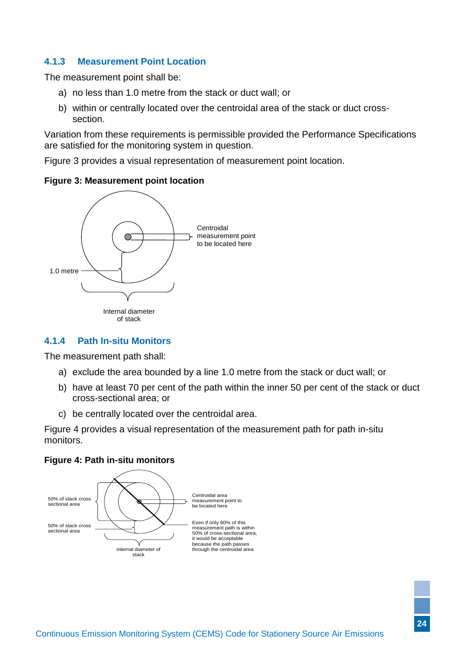#### <span id="page-28-0"></span>**4.1.3 Measurement Point Location**

The measurement point shall be:

- a) no less than 1.0 metre from the stack or duct wall; or
- b) within or centrally located over the centroidal area of the stack or duct crosssection.

Variation from these requirements is permissible provided the Performance Specifications are satisfied for the monitoring system in question.

Figure 3 provides a visual representation of measurement point location.

#### **Figure 3: Measurement point location**



#### <span id="page-28-2"></span><span id="page-28-1"></span>**4.1.4 Path In-situ Monitors**

The measurement path shall:

- a) exclude the area bounded by a line 1.0 metre from the stack or duct wall; or
- b) have at least 70 per cent of the path within the inner 50 per cent of the stack or duct cross-sectional area; or
- c) be centrally located over the centroidal area.

Figure 4 provides a visual representation of the measurement path for path in-situ monitors.

#### **Figure 4: Path in-situ monitors**

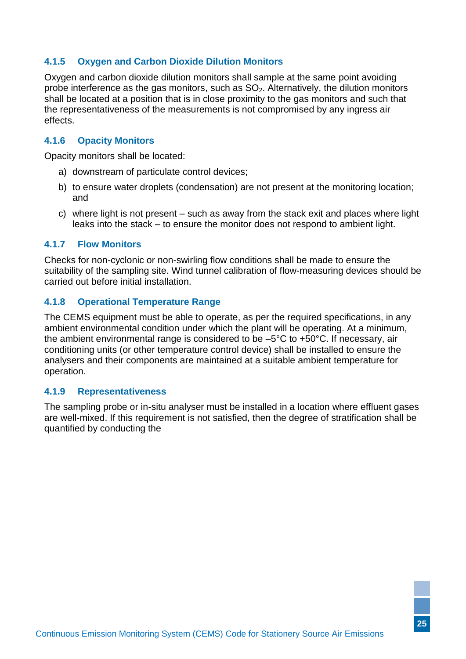#### <span id="page-29-0"></span>**4.1.5 Oxygen and Carbon Dioxide Dilution Monitors**

Oxygen and carbon dioxide dilution monitors shall sample at the same point avoiding probe interference as the gas monitors, such as  $SO<sub>2</sub>$ . Alternatively, the dilution monitors shall be located at a position that is in close proximity to the gas monitors and such that the representativeness of the measurements is not compromised by any ingress air effects.

#### <span id="page-29-1"></span>**4.1.6 Opacity Monitors**

Opacity monitors shall be located:

- a) downstream of particulate control devices;
- b) to ensure water droplets (condensation) are not present at the monitoring location; and
- c) where light is not present such as away from the stack exit and places where light leaks into the stack – to ensure the monitor does not respond to ambient light.

#### <span id="page-29-2"></span>**4.1.7 Flow Monitors**

Checks for non-cyclonic or non-swirling flow conditions shall be made to ensure the suitability of the sampling site. Wind tunnel calibration of flow-measuring devices should be carried out before initial installation.

#### <span id="page-29-5"></span><span id="page-29-3"></span>**4.1.8 Operational Temperature Range**

The CEMS equipment must be able to operate, as per the required specifications, in any ambient environmental condition under which the plant will be operating. At a minimum, the ambient environmental range is considered to be –5°C to +50°C. If necessary, air conditioning units (or other temperature control device) shall be installed to ensure the analysers and their components are maintained at a suitable ambient temperature for operation.

#### <span id="page-29-6"></span><span id="page-29-4"></span>**4.1.9 Representativeness**

The sampling probe or in-situ analyser must be installed in a location where effluent gases are well-mixed. If this requirement is not satisfied, then the degree of stratification shall be quantified by conducting the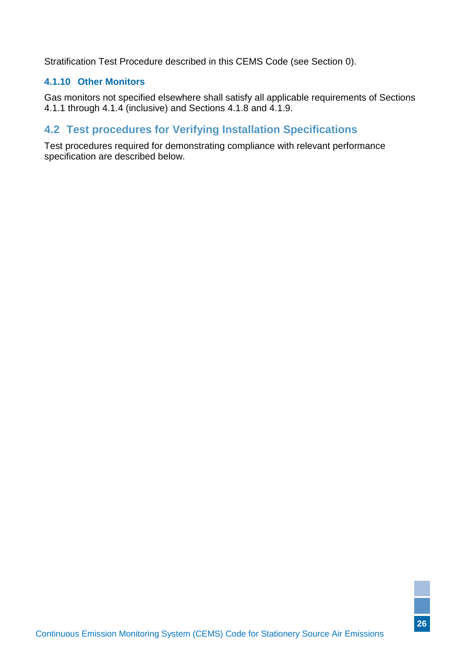[Stratification Test Procedure](#page-30-2) described in this CEMS Code (see Section [0\)](#page-30-2).

#### <span id="page-30-0"></span>**4.1.10 Other Monitors**

Gas monitors not specified elsewhere shall satisfy all applicable requirements of Sections [4.1.1](#page-27-4) through [4.1.4](#page-28-2) (inclusive) and Sections [4.1.8](#page-29-5) and [4.1.9.](#page-29-6)

### <span id="page-30-1"></span>**4.2 Test procedures for Verifying Installation Specifications**

<span id="page-30-2"></span>Test procedures required for demonstrating compliance with relevant performance specification are described below.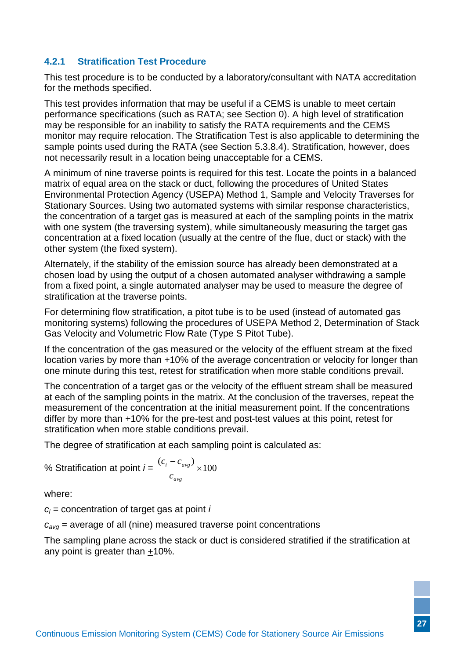#### <span id="page-31-0"></span>**4.2.1 Stratification Test Procedure**

This test procedure is to be conducted by a laboratory/consultant with NATA accreditation for the methods specified.

This test provides information that may be useful if a CEMS is unable to meet certain performance specifications (such as RATA; see Section [0\)](#page-40-1). A high level of stratification may be responsible for an inability to satisfy the RATA requirements and the CEMS monitor may require relocation. The Stratification Test is also applicable to determining the sample points used during the RATA (see Section [5.3.8.4\)](#page-43-0). Stratification, however, does not necessarily result in a location being unacceptable for a CEMS.

A minimum of nine traverse points is required for this test. Locate the points in a balanced matrix of equal area on the stack or duct, following the procedures of United States Environmental Protection Agency (USEPA) Method 1, Sample and Velocity Traverses for Stationary Sources. Using two automated systems with similar response characteristics, the concentration of a target gas is measured at each of the sampling points in the matrix with one system (the traversing system), while simultaneously measuring the target gas concentration at a fixed location (usually at the centre of the flue, duct or stack) with the other system (the fixed system).

Alternately, if the stability of the emission source has already been demonstrated at a chosen load by using the output of a chosen automated analyser withdrawing a sample from a fixed point, a single automated analyser may be used to measure the degree of stratification at the traverse points.

For determining flow stratification, a pitot tube is to be used (instead of automated gas monitoring systems) following the procedures of USEPA Method 2, Determination of Stack Gas Velocity and Volumetric Flow Rate (Type S Pitot Tube).

If the concentration of the gas measured or the velocity of the effluent stream at the fixed location varies by more than +10% of the average concentration or velocity for longer than one minute during this test, retest for stratification when more stable conditions prevail.

The concentration of a target gas or the velocity of the effluent stream shall be measured at each of the sampling points in the matrix. At the conclusion of the traverses, repeat the measurement of the concentration at the initial measurement point. If the concentrations differ by more than +10% for the pre-test and post-test values at this point, retest for stratification when more stable conditions prevail.

The degree of stratification at each sampling point is calculated as:

% Stratification at point 
$$
i = \frac{(c_i - c_{avg})}{c_{avg}} \times 100
$$

where:

*c<sup>i</sup>* = concentration of target gas at point *i*

*cavg* = average of all (nine) measured traverse point concentrations

The sampling plane across the stack or duct is considered stratified if the stratification at any point is greater than  $+10\%$ .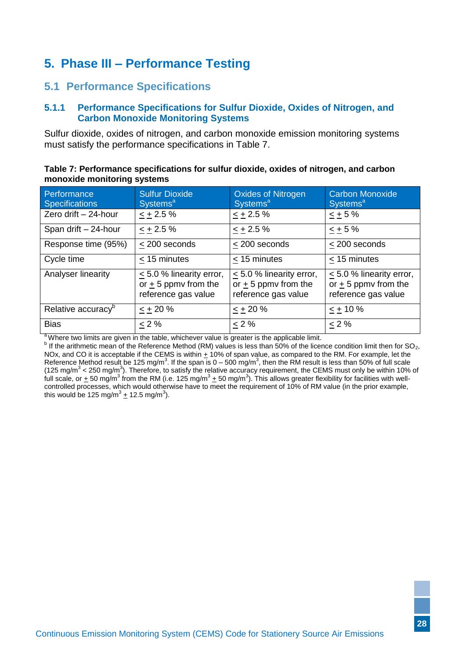# <span id="page-32-0"></span>**5. Phase III – Performance Testing**

### <span id="page-32-3"></span><span id="page-32-1"></span>**5.1 Performance Specifications**

#### <span id="page-32-2"></span>**5.1.1 Performance Specifications for Sulfur Dioxide, Oxides of Nitrogen, and Carbon Monoxide Monitoring Systems**

Sulfur dioxide, oxides of nitrogen, and carbon monoxide emission monitoring systems must satisfy the performance specifications in Table 7.

| Table 7: Performance specifications for sulfur dioxide, oxides of nitrogen, and carbon |  |
|----------------------------------------------------------------------------------------|--|
| monoxide monitoring systems                                                            |  |

| Performance<br><b>Specifications</b> | <b>Sulfur Dioxide</b><br>Systems <sup>a</sup>                                    | <b>Oxides of Nitrogen</b><br><b>Systems<sup>a</sup></b>                       | <b>Carbon Monoxide</b><br>Systems <sup>a</sup>                                |
|--------------------------------------|----------------------------------------------------------------------------------|-------------------------------------------------------------------------------|-------------------------------------------------------------------------------|
| Zero drift - 24-hour                 | $\leq$ + 2.5 %                                                                   | $\leq$ + 2.5 %                                                                | $\leq$ + 5%                                                                   |
| Span drift - 24-hour                 | $- + 2.5 \%$                                                                     | $\leq$ + 2.5 %                                                                | $< +5%$                                                                       |
| Response time (95%)                  | < 200 seconds                                                                    | $\leq$ 200 seconds                                                            | < 200 seconds                                                                 |
| Cycle time                           | < 15 minutes                                                                     | < 15 minutes                                                                  | < 15 minutes                                                                  |
| Analyser linearity                   | $\leq$ 5.0 % linearity error,<br>or $\pm$ 5 ppmv from the<br>reference gas value | $\leq$ 5.0 % linearity error,<br>or $+5$ ppmy from the<br>reference gas value | $\leq$ 5.0 % linearity error,<br>or $+5$ ppmy from the<br>reference gas value |
| Relative accuracy <sup>b</sup>       | $\leq$ + 20 %                                                                    | $\leq$ + 20 %                                                                 | $\leq$ + 10 %                                                                 |
| <b>Bias</b>                          | $\leq$ 2%                                                                        | $< 2 \%$                                                                      | $\leq$ 2%                                                                     |

<sup>a</sup>Where two limits are given in the table, whichever value is greater is the applicable limit.

 $^b$  If the arithmetic mean of the Reference Method (RM) values is less than 50% of the licence condition limit then for SO<sub>2</sub>, NOx, and CO it is acceptable if the CEMS is within  $\pm$  10% of span value, as compared to the RM. For example, let the Reference Method result be 125 mg/m<sup>3</sup>. If the span is  $0-500$  mg/m<sup>3</sup>, then the RM result is less than 50% of full scale (125 mg/m<sup>3</sup> < 250 mg/m<sup>3</sup>). Therefore, to satisfy the relative accuracy requirement, the CEMS must only be within 10% of full scale, or  $\pm$  50 mg/m<sup>3</sup> from the RM (i.e. 125 mg/m<sup>3</sup>  $\pm$  50 mg/m<sup>3</sup>). This allows greater flexibility for facilities with wellcontrolled processes, which would otherwise have to meet the requirement of 10% of RM value (in the prior example, this would be 125 mg/m $^3$  + 12.5 mg/m $^3$ ).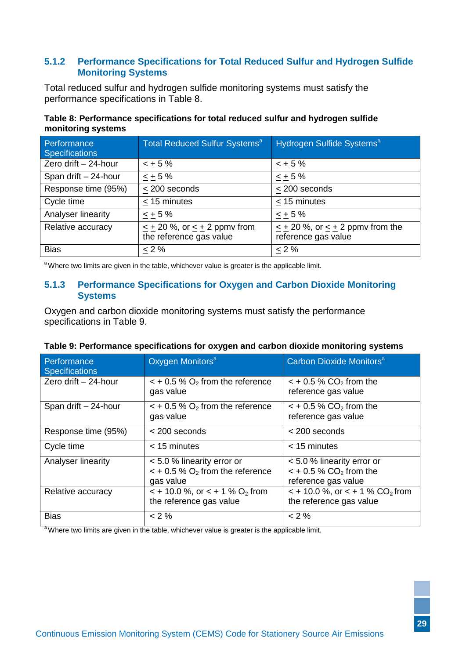#### <span id="page-33-0"></span>**5.1.2 Performance Specifications for Total Reduced Sulfur and Hydrogen Sulfide Monitoring Systems**

Total reduced sulfur and hydrogen sulfide monitoring systems must satisfy the performance specifications in Table 8.

**Table 8: Performance specifications for total reduced sulfur and hydrogen sulfide monitoring systems**

| Performance<br><b>Specifications</b> | <b>Total Reduced Sulfur Systems<sup>a</sup></b>                   | Hydrogen Sulfide Systems <sup>a</sup>                             |
|--------------------------------------|-------------------------------------------------------------------|-------------------------------------------------------------------|
| Zero drift - 24-hour                 | $\leq$ + 5 %                                                      | $3 + 5%$                                                          |
| Span drift - 24-hour                 | $< +5%$                                                           | $\leq$ + 5%                                                       |
| Response time (95%)                  | < 200 seconds                                                     | < 200 seconds                                                     |
| Cycle time                           | < 15 minutes                                                      | $\leq$ 15 minutes                                                 |
| Analyser linearity                   | $< +5%$                                                           | $< +5%$                                                           |
| Relative accuracy                    | $\leq$ + 20 %, or $\leq$ + 2 ppmv from<br>the reference gas value | $\leq$ + 20 %, or $\leq$ + 2 ppmv from the<br>reference gas value |
| <b>Bias</b>                          | $< 2 \%$                                                          | $< 2 \%$                                                          |

<span id="page-33-1"></span><sup>a</sup>Where two limits are given in the table, whichever value is greater is the applicable limit.

#### **5.1.3 Performance Specifications for Oxygen and Carbon Dioxide Monitoring Systems**

Oxygen and carbon dioxide monitoring systems must satisfy the performance specifications in Table 9.

| Performance<br><b>Specifications</b> | Oxygen Monitors <sup>a</sup>                                                                    | Carbon Dioxide Monitors <sup>a</sup>                                                         |
|--------------------------------------|-------------------------------------------------------------------------------------------------|----------------------------------------------------------------------------------------------|
| Zero drift - 24-hour                 | $\leq$ + 0.5 % O <sub>2</sub> from the reference<br>gas value                                   | $\leq$ + 0.5 % CO <sub>2</sub> from the<br>reference gas value                               |
| Span drift - 24-hour                 | $\epsilon$ + 0.5 % $O_2$ from the reference<br>gas value                                        | $\lt$ + 0.5 % CO <sub>2</sub> from the<br>reference gas value                                |
| Response time (95%)                  | $<$ 200 seconds                                                                                 | $<$ 200 seconds                                                                              |
| Cycle time                           | < 15 minutes                                                                                    | $<$ 15 minutes                                                                               |
| Analyser linearity                   | < 5.0 % linearity error or<br>$\epsilon$ + 0.5 % O <sub>2</sub> from the reference<br>gas value | < 5.0 % linearity error or<br>$\leq$ + 0.5 % CO <sub>2</sub> from the<br>reference gas value |
| Relative accuracy                    | $\lt$ + 10.0 %, or $\lt$ + 1 % O <sub>2</sub> from<br>the reference gas value                   | $\le$ + 10.0 %, or $\le$ + 1 % CO <sub>2</sub> from<br>the reference gas value               |
| <b>Bias</b>                          | $< 2 \%$                                                                                        | $< 2 \%$                                                                                     |

| Table 9: Performance specifications for oxygen and carbon dioxide monitoring systems |  |  |  |
|--------------------------------------------------------------------------------------|--|--|--|
|                                                                                      |  |  |  |

<sup>a</sup>Where two limits are given in the table, whichever value is greater is the applicable limit.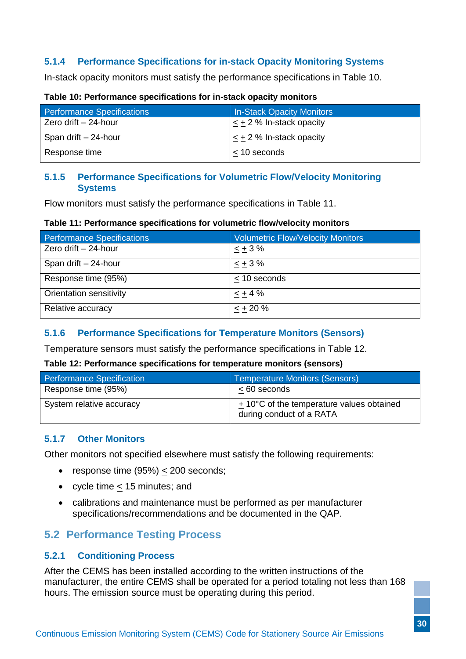### <span id="page-34-0"></span>**5.1.4 Performance Specifications for in-stack Opacity Monitoring Systems**

In-stack opacity monitors must satisfy the performance specifications in Table 10.

| <b>Performance Specifications</b> | <b>In-Stack Opacity Monitors</b> |
|-----------------------------------|----------------------------------|
| Zero drift - 24-hour              | $\leq$ + 2 % In-stack opacity    |
| Span drift - 24-hour              | $\lt$ + 2 % In-stack opacity     |
| Response time                     | $<$ 10 seconds                   |

#### **Table 10: Performance specifications for in-stack opacity monitors**

#### <span id="page-34-1"></span>**5.1.5 Performance Specifications for Volumetric Flow/Velocity Monitoring Systems**

Flow monitors must satisfy the performance specifications in Table 11.

#### **Table 11: Performance specifications for volumetric flow/velocity monitors**

| <b>Performance Specifications</b> | <b>Volumetric Flow/Velocity Monitors</b> |
|-----------------------------------|------------------------------------------|
| Zero drift - 24-hour              | $- + 3 \%$                               |
| Span drift $-24$ -hour            | $- + 3 \%$                               |
| Response time (95%)               | $<$ 10 seconds                           |
| Orientation sensitivity           | $< +4%$                                  |
| Relative accuracy                 | $< +20%$                                 |

#### <span id="page-34-2"></span>**5.1.6 Performance Specifications for Temperature Monitors (Sensors)**

Temperature sensors must satisfy the performance specifications in Table 12.

#### **Table 12: Performance specifications for temperature monitors (sensors)**

| <b>Performance Specification</b> | Temperature Monitors (Sensors)                                        |
|----------------------------------|-----------------------------------------------------------------------|
| Response time (95%)              | $< 60$ seconds                                                        |
| System relative accuracy         | + 10°C of the temperature values obtained<br>during conduct of a RATA |

#### <span id="page-34-3"></span>**5.1.7 Other Monitors**

Other monitors not specified elsewhere must satisfy the following requirements:

- response time  $(95%) \le 200$  seconds;
- cycle time < 15 minutes; and
- calibrations and maintenance must be performed as per manufacturer specifications/recommendations and be documented in the QAP.

### <span id="page-34-4"></span>**5.2 Performance Testing Process**

#### <span id="page-34-6"></span><span id="page-34-5"></span>**5.2.1 Conditioning Process**

After the CEMS has been installed according to the written instructions of the manufacturer, the entire CEMS shall be operated for a period totaling not less than 168 hours. The emission source must be operating during this period.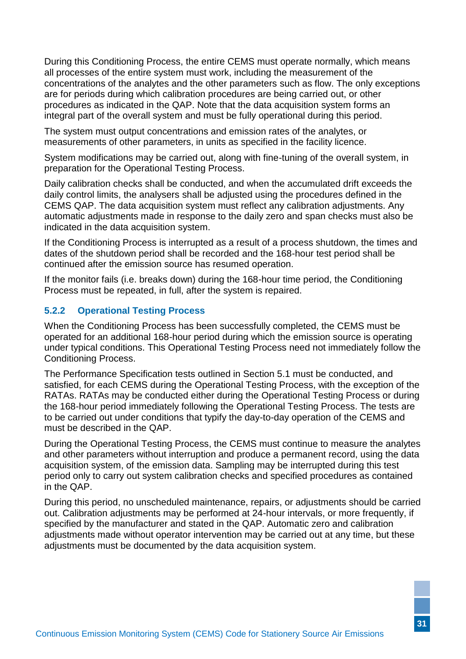During this [Conditioning Process,](#page-34-6) the entire CEMS must operate normally, which means all processes of the entire system must work, including the measurement of the concentrations of the analytes and the other parameters such as flow. The only exceptions are for periods during which calibration procedures are being carried out, or other procedures as indicated in the QAP. Note that the data acquisition system forms an integral part of the overall system and must be fully operational during this period.

The system must output concentrations and emission rates of the analytes, or measurements of other parameters, in units as specified in the facility licence.

System modifications may be carried out, along with fine-tuning of the overall system, in preparation for the [Operational Testing Process.](#page-35-1)

Daily calibration checks shall be conducted, and when the accumulated drift exceeds the daily control limits, the analysers shall be adjusted using the procedures defined in the CEMS QAP. The data acquisition system must reflect any calibration adjustments. Any automatic adjustments made in response to the daily zero and span checks must also be indicated in the data acquisition system.

If the [Conditioning Process](#page-34-6) is interrupted as a result of a process shutdown, the times and dates of the shutdown period shall be recorded and the 168-hour test period shall be continued after the emission source has resumed operation.

If the monitor fails (i.e. breaks down) during the 168-hour time period, the [Conditioning](#page-34-6)  [Process](#page-34-6) must be repeated, in full, after the system is repaired.

#### <span id="page-35-1"></span><span id="page-35-0"></span>**5.2.2 Operational Testing Process**

When the [Conditioning Process](#page-34-6) has been successfully completed, the CEMS must be operated for an additional 168-hour period during which the emission source is operating under typical conditions. This [Operational Testing Process](#page-35-1) need not immediately follow the [Conditioning Process.](#page-34-6)

The Performance Specification tests outlined in Section [5.1](#page-32-3) must be conducted, and satisfied, for each CEMS during the [Operational Testing Process,](#page-35-1) with the exception of the RATAs. RATAs may be conducted either during the [Operational Testing Process](#page-35-1) or during the 168-hour period immediately following the [Operational Testing Process.](#page-35-1) The tests are to be carried out under conditions that typify the day-to-day operation of the CEMS and must be described in the QAP.

During the [Operational Testing Process,](#page-35-1) the CEMS must continue to measure the analytes and other parameters without interruption and produce a permanent record, using the data acquisition system, of the emission data. Sampling may be interrupted during this test period only to carry out system calibration checks and specified procedures as contained in the QAP.

During this period, no unscheduled maintenance, repairs, or adjustments should be carried out. Calibration adjustments may be performed at 24-hour intervals, or more frequently, if specified by the manufacturer and stated in the QAP. Automatic zero and calibration adjustments made without operator intervention may be carried out at any time, but these adjustments must be documented by the data acquisition system.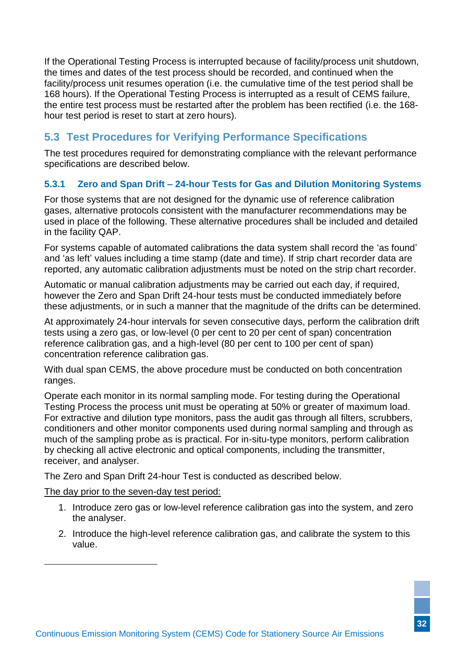If the [Operational Testing Process](#page-35-1) is interrupted because of facility/process unit shutdown, the times and dates of the test process should be recorded, and continued when the facility/process unit resumes operation (i.e. the cumulative time of the test period shall be 168 hours). If the [Operational Testing Process](#page-35-1) is interrupted as a result of CEMS failure, the entire test process must be restarted after the problem has been rectified (i.e. the 168 hour test period is reset to start at zero hours).

# <span id="page-36-3"></span><span id="page-36-0"></span>**5.3 Test Procedures for Verifying Performance Specifications**

The test procedures required for demonstrating compliance with the relevant performance specifications are described below.

#### <span id="page-36-2"></span><span id="page-36-1"></span>**5.3.1 Zero and Span Drift – 24-hour Tests for Gas and Dilution Monitoring Systems**

For those systems that are not designed for the dynamic use of reference calibration gases, alternative protocols consistent with the manufacturer recommendations may be used in place of the following. These alternative procedures shall be included and detailed in the facility QAP.

For systems capable of automated calibrations the data system shall record the 'as found' and 'as left' values including a time stamp (date and time). If strip chart recorder data are reported, any automatic calibration adjustments must be noted on the strip chart recorder.

Automatic or manual calibration adjustments may be carried out each day, if required, however the Zero and Span Drift 24-hour tests must be conducted immediately before these adjustments, or in such a manner that the magnitude of the drifts can be determined.

At approximately 24-hour intervals for seven consecutive days, perform the calibration drift tests using a zero gas, or low-level (0 per cent to 20 per cent of span) concentration reference calibration gas, and a high-level (80 per cent to 100 per cent of span) concentration reference calibration gas.

With dual span CEMS, the above procedure must be conducted on both concentration ranges.

Operate each monitor in its normal sampling mode. For testing during the [Operational](#page-35-1)  [Testing Process](#page-35-1) the process unit must be operating at 50% or greater of maximum load. For extractive and dilution type monitors, pass the audit gas through all filters, scrubbers, conditioners and other monitor components used during normal sampling and through as much of the sampling probe as is practical. For in-situ-type monitors, perform calibration by checking all active electronic and optical components, including the transmitter, receiver, and analyser.

The Zero and Span Drift 24-hour Test is conducted as described below.

The day prior to the seven-day test period:

- 1. Introduce zero gas or low-level reference calibration gas into the system, and zero the analyser.
- 2. Introduce the high-level reference calibration gas, and calibrate the system to this value.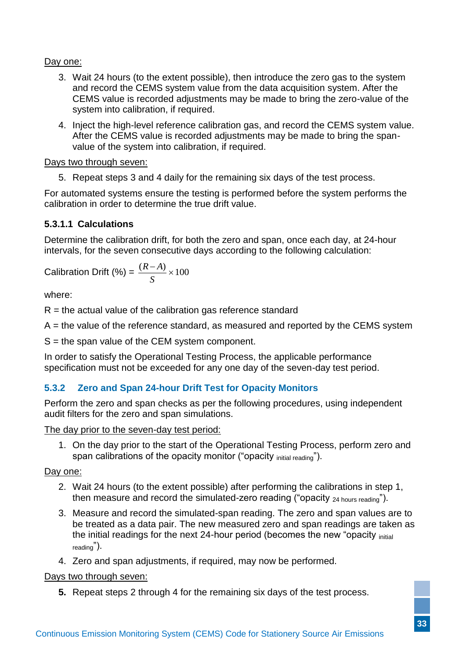#### Day one:

- 3. Wait 24 hours (to the extent possible), then introduce the zero gas to the system and record the CEMS system value from the data acquisition system. After the CEMS value is recorded adjustments may be made to bring the zero-value of the system into calibration, if required.
- 4. Inject the high-level reference calibration gas, and record the CEMS system value. After the CEMS value is recorded adjustments may be made to bring the spanvalue of the system into calibration, if required.

#### Days two through seven:

5. Repeat steps 3 and 4 daily for the remaining six days of the test process.

For automated systems ensure the testing is performed before the system performs the calibration in order to determine the true drift value.

#### **5.3.1.1 Calculations**

Determine the calibration drift, for both the zero and span, once each day, at 24-hour intervals, for the seven consecutive days according to the following calculation:

Calibration Drift (%) = 
$$
\frac{(R-A)}{S} \times 100
$$

where:

 $R =$  the actual value of the calibration gas reference standard

A = the value of the reference standard, as measured and reported by the CEMS system

 $S =$  the span value of the CEM system component.

In order to satisfy the [Operational Testing Process,](#page-35-1) the applicable performance specification must not be exceeded for any one day of the seven-day test period.

#### <span id="page-37-0"></span>**5.3.2 Zero and Span 24-hour Drift Test for Opacity Monitors**

Perform the zero and span checks as per the following procedures, using independent audit filters for the zero and span simulations.

The day prior to the seven-day test period:

1. On the day prior to the start of the [Operational Testing Process,](#page-35-1) perform zero and span calibrations of the opacity monitor ("opacity initial reading").

#### Day one:

- 2. Wait 24 hours (to the extent possible) after performing the calibrations in step 1, then measure and record the simulated-zero reading ("opacity 24 hours reading").
- 3. Measure and record the simulated-span reading. The zero and span values are to be treated as a data pair. The new measured zero and span readings are taken as the initial readings for the next 24-hour period (becomes the new "opacity initial reading").
- 4. Zero and span adjustments, if required, may now be performed.

#### Days two through seven:

**5.** Repeat steps 2 through 4 for the remaining six days of the test process.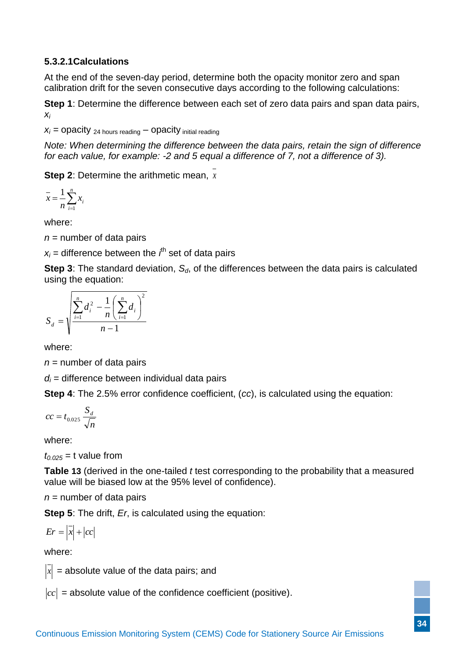#### **5.3.2.1Calculations**

At the end of the seven-day period, determine both the opacity monitor zero and span calibration drift for the seven consecutive days according to the following calculations:

**Step 1**: Determine the difference between each set of zero data pairs and span data pairs, *xi*

 $x_i$  =  $\alpha$  pacity  $_{24}$  hours reading  $\alpha$  pacity initial reading

*Note: When determining the difference between the data pairs, retain the sign of difference for each value, for example: -2 and 5 equal a difference of 7, not a difference of 3).*

**Step 2**: Determine the arithmetic mean, *x*

$$
\bar{x} = \frac{1}{n} \sum_{i=1}^{n} x_i
$$

where:

 $n =$  number of data pairs

 $x_i$  = difference between the  $i^{\text{th}}$  set of data pairs

**Step 3**: The standard deviation, *Sd*, of the differences between the data pairs is calculated using the equation:

$$
S_d = \sqrt{\frac{\sum_{i=1}^{n} d_i^2 - \frac{1}{n} (\sum_{i=1}^{n} d_i)^2}{n-1}}
$$

where:

 $n =$  number of data pairs

 $d_i$  = difference between individual data pairs

**Step 4**: The 2.5% error confidence coefficient, (*cc*), is calculated using the equation:

$$
cc = t_{0.025} \frac{S_d}{\sqrt{n}}
$$

where:

 $t_{0.025}$ = t value from

**[Table](#page-45-0) 13** (derived in the one-tailed *t* test corresponding to the probability that a measured value will be biased low at the 95% level of confidence).

 $n =$  number of data pairs

**Step 5**: The drift, *Er*, is calculated using the equation:

$$
Er = \left| \overline{x} \right| + \left| cc \right|
$$

where:

 $\left| x \right|$  = absolute value of the data pairs; and

 $cc$  = absolute value of the confidence coefficient (positive).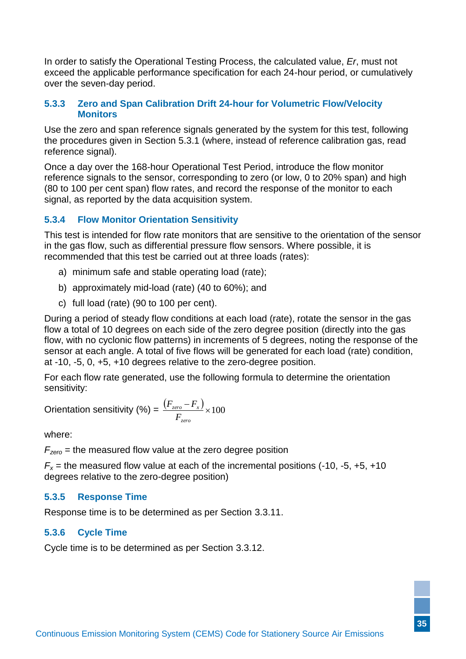In order to satisfy the [Operational Testing Process,](#page-35-1) the calculated value, *Er*, must not exceed the applicable performance specification for each 24-hour period, or cumulatively over the seven-day period.

#### <span id="page-39-0"></span>**5.3.3 Zero and Span Calibration Drift 24-hour for Volumetric Flow/Velocity Monitors**

Use the zero and span reference signals generated by the system for this test, following the procedures given in Section [5.3.1](#page-36-2) (where, instead of reference calibration gas, read reference signal).

Once a day over the 168-hour Operational Test Period, introduce the flow monitor reference signals to the sensor, corresponding to zero (or low, 0 to 20% span) and high (80 to 100 per cent span) flow rates, and record the response of the monitor to each signal, as reported by the data acquisition system.

#### <span id="page-39-4"></span><span id="page-39-1"></span>**5.3.4 Flow Monitor Orientation Sensitivity**

This test is intended for flow rate monitors that are sensitive to the orientation of the sensor in the gas flow, such as differential pressure flow sensors. Where possible, it is recommended that this test be carried out at three loads (rates):

- a) minimum safe and stable operating load (rate);
- b) approximately mid-load (rate) (40 to 60%); and
- c) full load (rate) (90 to 100 per cent).

During a period of steady flow conditions at each load (rate), rotate the sensor in the gas flow a total of 10 degrees on each side of the zero degree position (directly into the gas flow, with no cyclonic flow patterns) in increments of 5 degrees, noting the response of the sensor at each angle. A total of five flows will be generated for each load (rate) condition, at -10, -5, 0, +5, +10 degrees relative to the zero-degree position.

For each flow rate generated, use the following formula to determine the orientation sensitivity:

$$
\text{Orientation sensitivity } (\%) = \frac{\left(F_{\text{zero}} - F_{\text{x}}\right)}{F_{\text{zero}}} \times 100
$$

where:

*Fzero* = the measured flow value at the zero degree position

 $F_x$  = the measured flow value at each of the incremental positions (-10, -5, +5, +10) degrees relative to the zero-degree position)

#### <span id="page-39-2"></span>**5.3.5 Response Time**

Response time is to be determined as per Section [3.3.11.](#page-25-8)

#### <span id="page-39-3"></span>**5.3.6 Cycle Time**

<span id="page-39-5"></span>Cycle time is to be determined as per Section [3.3.12.](#page-26-1)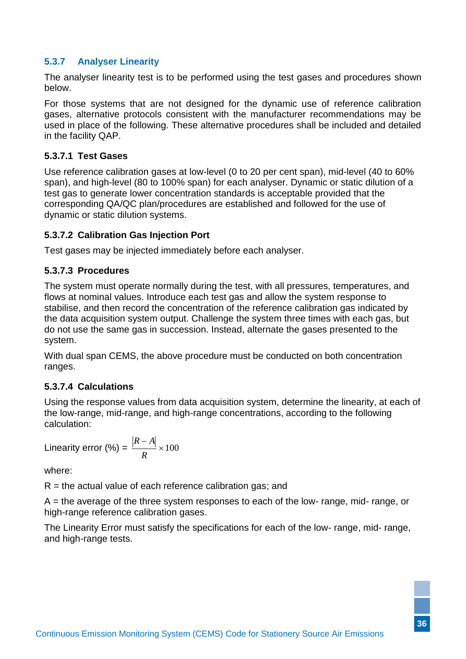#### <span id="page-40-0"></span>**5.3.7 Analyser Linearity**

The analyser linearity test is to be performed using the test gases and procedures shown below.

For those systems that are not designed for the dynamic use of reference calibration gases, alternative protocols consistent with the manufacturer recommendations may be used in place of the following. These alternative procedures shall be included and detailed in the facility QAP.

#### **5.3.7.1 Test Gases**

Use reference calibration gases at low-level (0 to 20 per cent span), mid-level (40 to 60% span), and high-level (80 to 100% span) for each analyser. Dynamic or static dilution of a test gas to generate lower concentration standards is acceptable provided that the corresponding QA/QC plan/procedures are established and followed for the use of dynamic or static dilution systems.

#### **5.3.7.2 Calibration Gas Injection Port**

Test gases may be injected immediately before each analyser.

#### **5.3.7.3 Procedures**

The system must operate normally during the test, with all pressures, temperatures, and flows at nominal values. Introduce each test gas and allow the system response to stabilise, and then record the concentration of the reference calibration gas indicated by the data acquisition system output. Challenge the system three times with each gas, but do not use the same gas in succession. Instead, alternate the gases presented to the system.

With dual span CEMS, the above procedure must be conducted on both concentration ranges.

#### **5.3.7.4 Calculations**

Using the response values from data acquisition system, determine the linearity, at each of the low-range, mid-range, and high-range concentrations, according to the following calculation:

Linearity error  $(\%) = \frac{|A|}{|A|} \times 100$  $\overline{a}$ *R R A*

where:

 $R =$  the actual value of each reference calibration gas; and

 $A =$  the average of the three system responses to each of the low- range, mid- range, or high-range reference calibration gases.

<span id="page-40-1"></span>The Linearity Error must satisfy the specifications for each of the low- range, mid- range, and high-range tests.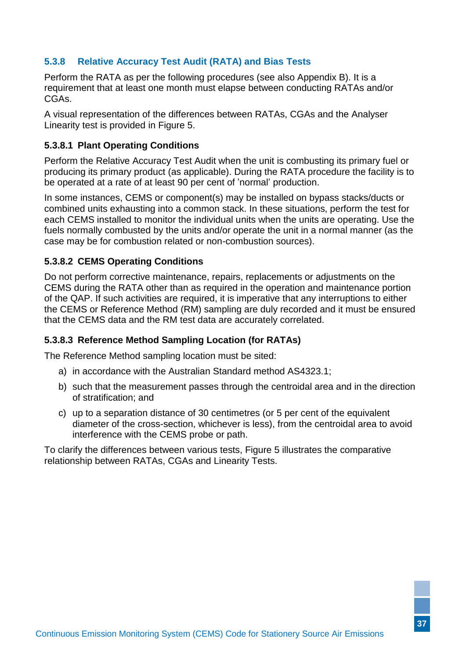#### <span id="page-41-0"></span>**5.3.8 Relative Accuracy Test Audit (RATA) and Bias Tests**

Perform the RATA as per the following procedures (see also Appendix B). It is a requirement that at least one month must elapse between conducting RATAs and/or CGAs.

A visual representation of the differences between RATAs, CGAs and the Analyser Linearity test is provided in Figure 5.

#### **5.3.8.1 Plant Operating Conditions**

Perform the Relative Accuracy Test Audit when the unit is combusting its primary fuel or producing its primary product (as applicable). During the RATA procedure the facility is to be operated at a rate of at least 90 per cent of 'normal' production.

In some instances, CEMS or component(s) may be installed on bypass stacks/ducts or combined units exhausting into a common stack. In these situations, perform the test for each CEMS installed to monitor the individual units when the units are operating. Use the fuels normally combusted by the units and/or operate the unit in a normal manner (as the case may be for combustion related or non-combustion sources).

#### **5.3.8.2 CEMS Operating Conditions**

Do not perform corrective maintenance, repairs, replacements or adjustments on the CEMS during the RATA other than as required in the operation and maintenance portion of the QAP. If such activities are required, it is imperative that any interruptions to either the CEMS or Reference Method (RM) sampling are duly recorded and it must be ensured that the CEMS data and the RM test data are accurately correlated.

#### <span id="page-41-1"></span>**5.3.8.3 Reference Method Sampling Location (for RATAs)**

The Reference Method sampling location must be sited:

- a) in accordance with the Australian Standard method AS4323.1;
- b) such that the measurement passes through the centroidal area and in the direction of stratification; and
- c) up to a separation distance of 30 centimetres (or 5 per cent of the equivalent diameter of the cross-section, whichever is less), from the centroidal area to avoid interference with the CEMS probe or path.

To clarify the differences between various tests, Figure 5 illustrates the comparative relationship between RATAs, CGAs and Linearity Tests.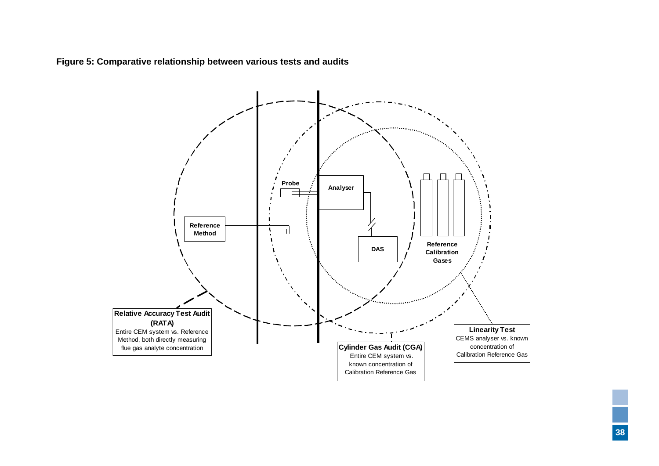**Figure 5: Comparative relationship between various tests and audits**

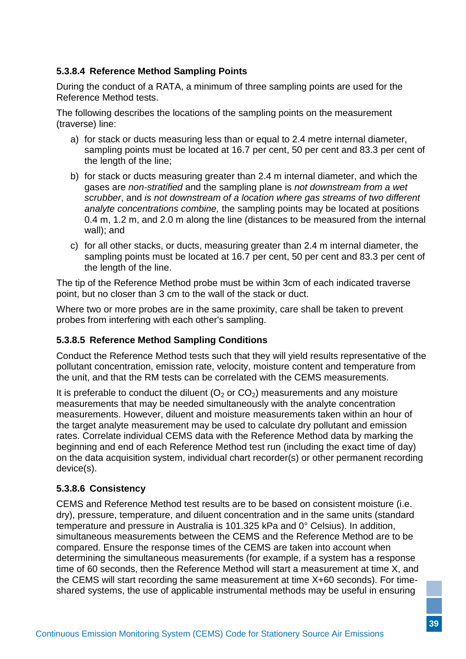### <span id="page-43-0"></span>**5.3.8.4 Reference Method Sampling Points**

During the conduct of a RATA, a minimum of three sampling points are used for the Reference Method tests.

The following describes the locations of the sampling points on the measurement (traverse) line:

- a) for stack or ducts measuring less than or equal to 2.4 metre internal diameter, sampling points must be located at 16.7 per cent, 50 per cent and 83.3 per cent of the length of the line;
- b) for stack or ducts measuring greater than 2.4 m internal diameter, and which the gases are *non-stratified* and the sampling plane is *not downstream from a wet scrubber*, and *is not downstream of a location where gas streams of two different analyte concentrations combine,* the sampling points may be located at positions 0.4 m, 1.2 m, and 2.0 m along the line (distances to be measured from the internal wall); and
- c) for all other stacks, or ducts, measuring greater than 2.4 m internal diameter, the sampling points must be located at 16.7 per cent, 50 per cent and 83.3 per cent of the length of the line.

The tip of the Reference Method probe must be within 3cm of each indicated traverse point, but no closer than 3 cm to the wall of the stack or duct.

Where two or more probes are in the same proximity, care shall be taken to prevent probes from interfering with each other's sampling.

#### **5.3.8.5 Reference Method Sampling Conditions**

Conduct the Reference Method tests such that they will yield results representative of the pollutant concentration, emission rate, velocity, moisture content and temperature from the unit, and that the RM tests can be correlated with the CEMS measurements.

It is preferable to conduct the diluent ( $O<sub>2</sub>$  or  $CO<sub>2</sub>$ ) measurements and any moisture measurements that may be needed simultaneously with the analyte concentration measurements. However, diluent and moisture measurements taken within an hour of the target analyte measurement may be used to calculate dry pollutant and emission rates. Correlate individual CEMS data with the Reference Method data by marking the beginning and end of each Reference Method test run (including the exact time of day) on the data acquisition system, individual chart recorder(s) or other permanent recording device(s).

#### **5.3.8.6 Consistency**

CEMS and Reference Method test results are to be based on consistent moisture (i.e. dry), pressure, temperature, and diluent concentration and in the same units (standard temperature and pressure in Australia is 101.325 kPa and 0° Celsius). In addition, simultaneous measurements between the CEMS and the Reference Method are to be compared. Ensure the response times of the CEMS are taken into account when determining the simultaneous measurements (for example, if a system has a response time of 60 seconds, then the Reference Method will start a measurement at time X, and the CEMS will start recording the same measurement at time X+60 seconds). For timeshared systems, the use of applicable instrumental methods may be useful in ensuring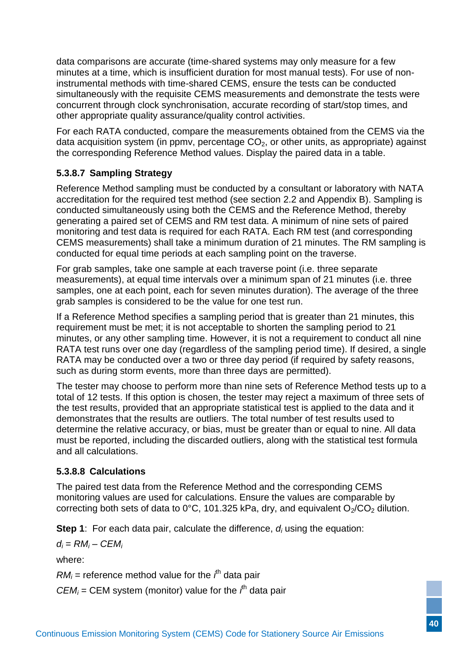data comparisons are accurate (time-shared systems may only measure for a few minutes at a time, which is insufficient duration for most manual tests). For use of noninstrumental methods with time-shared CEMS, ensure the tests can be conducted simultaneously with the requisite CEMS measurements and demonstrate the tests were concurrent through clock synchronisation, accurate recording of start/stop times, and other appropriate quality assurance/quality control activities.

For each RATA conducted, compare the measurements obtained from the CEMS via the data acquisition system (in ppmv, percentage  $CO<sub>2</sub>$ , or other units, as appropriate) against the corresponding Reference Method values. Display the paired data in a table.

### <span id="page-44-1"></span>**5.3.8.7 Sampling Strategy**

Reference Method sampling must be conducted by a consultant or laboratory with NATA accreditation for the required test method (see section [2.2](#page-18-2) and [Appendix B\)](#page-60-1). Sampling is conducted simultaneously using both the CEMS and the Reference Method, thereby generating a paired set of CEMS and RM test data. A minimum of nine sets of paired monitoring and test data is required for each RATA. Each RM test (and corresponding CEMS measurements) shall take a minimum duration of 21 minutes. The RM sampling is conducted for equal time periods at each sampling point on the traverse.

For grab samples, take one sample at each traverse point (i.e. three separate measurements), at equal time intervals over a minimum span of 21 minutes (i.e. three samples, one at each point, each for seven minutes duration). The average of the three grab samples is considered to be the value for one test run.

If a Reference Method specifies a sampling period that is greater than 21 minutes, this requirement must be met; it is not acceptable to shorten the sampling period to 21 minutes, or any other sampling time. However, it is not a requirement to conduct all nine RATA test runs over one day (regardless of the sampling period time). If desired, a single RATA may be conducted over a two or three day period (if required by safety reasons, such as during storm events, more than three days are permitted).

The tester may choose to perform more than nine sets of Reference Method tests up to a total of 12 tests. If this option is chosen, the tester may reject a maximum of three sets of the test results, provided that an appropriate statistical test is applied to the data and it demonstrates that the results are outliers. The total number of test results used to determine the relative accuracy, or bias, must be greater than or equal to nine. All data must be reported, including the discarded outliers, along with the statistical test formula and all calculations.

#### <span id="page-44-0"></span>**5.3.8.8 Calculations**

The paired test data from the Reference Method and the corresponding CEMS monitoring values are used for calculations. Ensure the values are comparable by correcting both sets of data to 0°C, 101.325 kPa, dry, and equivalent  $O_2/CO_2$  dilution.

**Step 1**: For each data pair, calculate the difference,  $d_i$  using the equation:

 $d_i = RM_i - CEM_i$ 

where:

 $RM_i$  = reference method value for the  $i^h$  data pair

 $CEM_i = CEM$  system (monitor) value for the  $i<sup>th</sup>$  data pair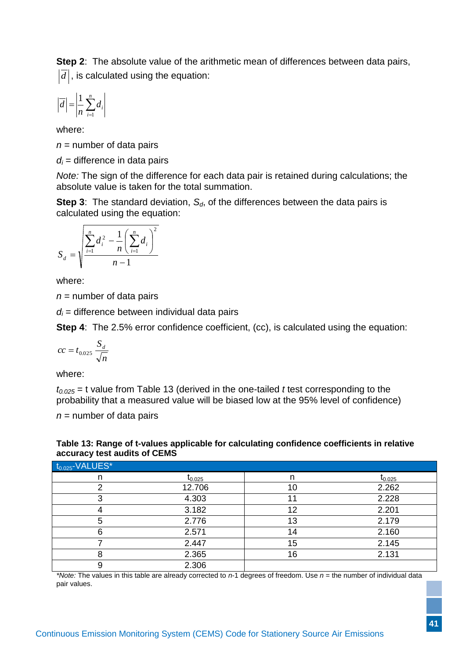**Step 2**: The absolute value of the arithmetic mean of differences between data pairs,  $d\vert$ , is calculated using the equation:

$$
\left|\overline{d}\right| = \left|\frac{1}{n}\sum_{i=1}^{n} d_i\right|
$$

where:

 $n =$  number of data pairs

 $d_i$  = difference in data pairs

*Note:* The sign of the difference for each data pair is retained during calculations; the absolute value is taken for the total summation.

**Step 3**: The standard deviation,  $S_d$ , of the differences between the data pairs is calculated using the equation:

$$
S_d = \sqrt{\frac{\sum_{i=1}^{n} d_i^2 - \frac{1}{n} (\sum_{i=1}^{n} d_i)^2}{n-1}}
$$

where:

 $n =$  number of data pairs

 $d_i$  = difference between individual data pairs

**Step 4:** The 2.5% error confidence coefficient, (cc), is calculated using the equation:

$$
cc = t_{0.025} \frac{S_d}{\sqrt{n}}
$$

where:

*t0.025* = t value from Table 13 (derived in the one-tailed *t* test corresponding to the probability that a measured value will be biased low at the 95% level of confidence)

 $n =$  number of data pairs

<span id="page-45-0"></span>

| Table 13: Range of t-values applicable for calculating confidence coefficients in relative |  |
|--------------------------------------------------------------------------------------------|--|
| accuracy test audits of CEMS                                                               |  |

| $t_{0.025}$ -VALUES* |             |    |             |
|----------------------|-------------|----|-------------|
| n                    | $t_{0.025}$ | n  | $I_{0.025}$ |
| റ                    | 12.706      | 10 | 2.262       |
|                      | 4.303       |    | 2.228       |
|                      | 3.182       | 12 | 2.201       |
| G                    | 2.776       | 13 | 2.179       |
|                      | 2.571       | 14 | 2.160       |
|                      | 2.447       | 15 | 2.145       |
|                      | 2.365       | 16 | 2.131       |
|                      | 2.306       |    |             |

*\*Note:* The values in this table are already corrected to *n*-1 degrees of freedom. Use *n* = the number of individual data pair values.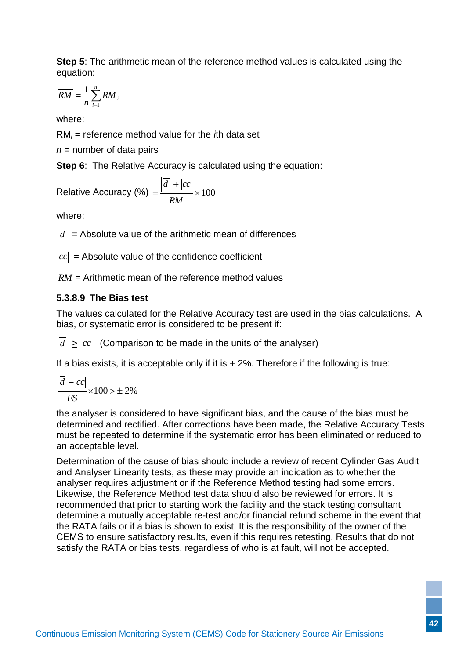**Step 5**: The arithmetic mean of the reference method values is calculated using the equation:

$$
\overline{RM} = \frac{1}{n} \sum_{i=1}^{n} RM_i
$$

where:

RM*<sup>i</sup>* = reference method value for the *i*th data set

 $n =$  number of data pairs

**Step 6:** The Relative Accuracy is calculated using the equation:

$$
Relative Accuracy (\%) = \frac{\left| \overline{d} \right| + \left| cc \right|}{\overline{RM}} \times 100
$$

where:

 $\left| d \right|$  = Absolute value of the arithmetic mean of differences

 $|cc|$  = Absolute value of the confidence coefficient

*RM* = Arithmetic mean of the reference method values

# **5.3.8.9 The Bias test**

The values calculated for the Relative Accuracy test are used in the bias calculations. A bias, or systematic error is considered to be present if:

 $d| \geq |cc|$  (Comparison to be made in the units of the analyser)

If a bias exists, it is acceptable only if it is  $\pm$  2%. Therefore if the following is true:

$$
\frac{\left|\overline{d}\right| - \left|cc\right|}{FS} \times 100 > \pm 2\%
$$

the analyser is considered to have significant bias, and the cause of the bias must be determined and rectified. After corrections have been made, the Relative Accuracy Tests must be repeated to determine if the systematic error has been eliminated or reduced to an acceptable level.

<span id="page-46-0"></span>Determination of the cause of bias should include a review of recent Cylinder Gas Audit and Analyser Linearity tests, as these may provide an indication as to whether the analyser requires adjustment or if the Reference Method testing had some errors. Likewise, the Reference Method test data should also be reviewed for errors. It is recommended that prior to starting work the facility and the stack testing consultant determine a mutually acceptable re-test and/or financial refund scheme in the event that the RATA fails or if a bias is shown to exist. It is the responsibility of the owner of the CEMS to ensure satisfactory results, even if this requires retesting. Results that do not satisfy the RATA or bias tests, regardless of who is at fault, will not be accepted.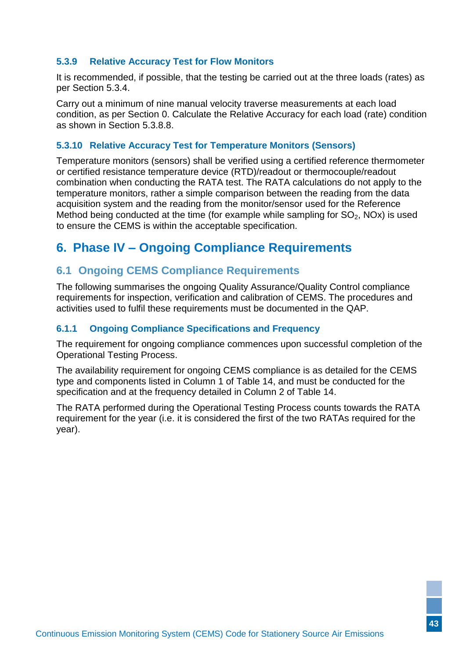#### **5.3.9 Relative Accuracy Test for Flow Monitors**

It is recommended, if possible, that the testing be carried out at the three loads (rates) as per Section [5.3.4.](#page-39-4)

Carry out a minimum of nine manual velocity traverse measurements at each load condition, as per Section [0.](#page-40-1) Calculate the Relative Accuracy for each load (rate) condition as shown in Section [5.3.8.8.](#page-44-0)

#### <span id="page-47-6"></span><span id="page-47-0"></span>**5.3.10 Relative Accuracy Test for Temperature Monitors (Sensors)**

Temperature monitors (sensors) shall be verified using a certified reference thermometer or certified resistance temperature device (RTD)/readout or thermocouple/readout combination when conducting the RATA test. The RATA calculations do not apply to the temperature monitors, rather a simple comparison between the reading from the data acquisition system and the reading from the monitor/sensor used for the Reference Method being conducted at the time (for example while sampling for  $SO<sub>2</sub>$ , NOx) is used to ensure the CEMS is within the acceptable specification.

# <span id="page-47-4"></span><span id="page-47-1"></span>**6. Phase IV – Ongoing Compliance Requirements**

### <span id="page-47-5"></span><span id="page-47-2"></span>**6.1 Ongoing CEMS Compliance Requirements**

The following summarises the ongoing Quality Assurance/Quality Control compliance requirements for inspection, verification and calibration of CEMS. The procedures and activities used to fulfil these requirements must be documented in the QAP.

#### <span id="page-47-3"></span>**6.1.1 Ongoing Compliance Specifications and Frequency**

The requirement for ongoing compliance commences upon successful completion of the [Operational Testing Process.](#page-35-1)

The availability requirement for ongoing CEMS compliance is as detailed for the CEMS type and components listed in Column 1 of Table 14, and must be conducted for the specification and at the frequency detailed in Column 2 of Table 14.

The RATA performed during the [Operational Testing Process](#page-35-1) counts towards the RATA requirement for the year (i.e. it is considered the first of the two RATAs required for the year).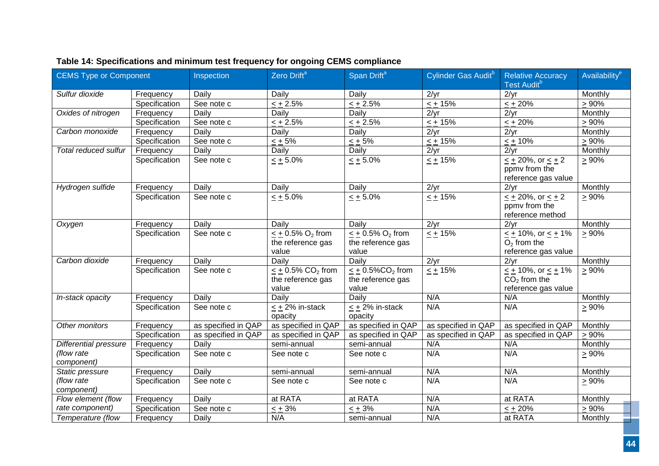| CEMS Type or Component       |               | Inspection          | Zero Drift <sup>a</sup>                                          | Span Drift <sup>a</sup>                                         | Cylinder Gas Audit <sup>b</sup> | <b>Relative Accuracy</b><br>Test Audit <sup>b</sup>                                 | Availability <sup>e</sup> |
|------------------------------|---------------|---------------------|------------------------------------------------------------------|-----------------------------------------------------------------|---------------------------------|-------------------------------------------------------------------------------------|---------------------------|
| Sulfur dioxide               | Frequency     | Daily               | Daily                                                            | Daily                                                           | 2/yr                            | 2/yr                                                                                | Monthly                   |
|                              | Specification | See note c          | $< +2.5\%$                                                       | $< +2.5\%$                                                      | $< +15%$                        | $< +20%$                                                                            | $> 90\%$                  |
| Oxides of nitrogen           | Frequency     | Daily               | Daily                                                            | Daily                                                           | 2/yr                            | 2/yr                                                                                | Monthly                   |
|                              | Specification | See note c          | $< +2.5\%$                                                       | $< +2.5\%$                                                      | $\leq$ + 15%                    | $< +20\%$                                                                           | $> 90\%$                  |
| Carbon monoxide              | Frequency     | Daily               | Daily                                                            | Daily                                                           | 2/yr                            | 2/yr                                                                                | Monthly                   |
|                              | Specification | See note c          | $< +5\%$                                                         | $< +5\%$                                                        | $< +15%$                        | $< +10%$                                                                            | > 90%                     |
| Total reduced sulfur         | Frequency     | Daily               | Daily                                                            | Daily                                                           | 2/yr                            | 2/yr                                                                                | Monthly                   |
|                              | Specification | See note c          | $\leq \pm 5.0\%$                                                 | $\leq \pm 5.0\%$                                                | $\leq \pm 15\%$                 | $\frac{\leq \pm 20\%}{\leq \pm 2}$<br>ppmy from the<br>reference gas value          | $\geq 90\%$               |
| Hydrogen sulfide             | Frequency     | Daily               | Daily                                                            | Daily                                                           | 2/yr                            | 2/yr                                                                                | Monthly                   |
|                              | Specification | See note c          | $\leq$ + 5.0%                                                    | $\leq$ + 5.0%                                                   | $\leq$ + 15%                    | $\leq$ + 20%, or $\leq$ + 2<br>ppmv from the<br>reference method                    | $\geq 90\%$               |
| Oxygen                       | Frequency     | Daily               | Daily                                                            | Daily                                                           | 2/yr                            | 2/yr                                                                                | Monthly                   |
|                              | Specification | See note c          | $\leq$ + 0.5% O <sub>2</sub> from<br>the reference gas<br>value  | $\leq$ + 0.5% O <sub>2</sub> from<br>the reference gas<br>value | $\leq \pm \sqrt{15\%}$          | $\frac{1}{10\%}$ , or $\leq \frac{1}{10\%}$<br>$O2$ from the<br>reference gas value | $\geq 90\%$               |
| Carbon dioxide               | Frequency     | Daily               | Daily                                                            | Daily                                                           | 2/yr                            | 2/yr                                                                                | Monthly                   |
|                              | Specification | See note c          | $\leq$ + 0.5% CO <sub>2</sub> from<br>the reference gas<br>value | $< +0.5\%$ CO <sub>2</sub> from<br>the reference gas<br>value   | $\leq$ + 15%                    | $\leq$ + 10%, or $\leq$ + 1%<br>$CO2$ from the<br>reference gas value               | $\geq 90\%$               |
| In-stack opacity             | Frequency     | Daily               | Daily                                                            | Daily                                                           | N/A                             | N/A                                                                                 | Monthly                   |
|                              | Specification | See note c          | $<$ + 2% in-stack<br>opacity                                     | < + 2% in-stack<br>opacity                                      | N/A                             | N/A                                                                                 | $\geq 90\%$               |
| Other monitors               | Frequency     | as specified in QAP | as specified in QAP                                              | as specified in QAP                                             | as specified in QAP             | as specified in QAP                                                                 | Monthly                   |
|                              | Specification | as specified in QAP | as specified in QAP                                              | as specified in QAP                                             | as specified in QAP             | as specified in QAP                                                                 | $> 90\%$                  |
| <b>Differential pressure</b> | Frequency     | Daily               | semi-annual                                                      | semi-annual                                                     | N/A                             | N/A                                                                                 | Monthly                   |
| (flow rate<br>component)     | Specification | See note c          | See note c                                                       | See note c                                                      | N/A                             | N/A                                                                                 | $\geq 90\%$               |
| Static pressure              | Frequency     | Daily               | semi-annual                                                      | semi-annual                                                     | N/A                             | N/A                                                                                 | Monthly                   |
| (flow rate<br>component)     | Specification | See note c          | See note c                                                       | See note c                                                      | N/A                             | N/A                                                                                 | $\geq 90\%$               |
| Flow element (flow           | Frequency     | Daily               | at RATA                                                          | at RATA                                                         | N/A                             | at RATA                                                                             | Monthly                   |
| rate component)              | Specification | See note c          | $< +3\%$                                                         | $< +3\%$                                                        | N/A                             | $\leq$ + 20%                                                                        | $\geq 90\%$               |
| Temperature (flow            | Frequency     | Daily               | N/A                                                              | semi-annual                                                     | N/A                             | at RATA                                                                             | Monthly                   |
|                              |               |                     |                                                                  |                                                                 |                                 |                                                                                     |                           |

# **Table 14: Specifications and minimum test frequency for ongoing CEMS compliance**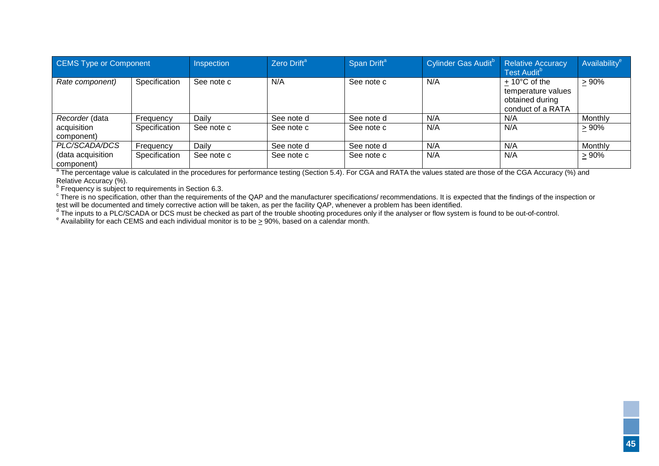| <b>CEMS Type or Component</b>   |               | Inspection | Zero Drift <sup>a</sup> | Span Drift <sup>a</sup> | Cylinder Gas Audit <sup>b</sup> | <b>Relative Accuracy</b><br>Test Audit <sup>b</sup>                                  | Availability <sup>e</sup> |
|---------------------------------|---------------|------------|-------------------------|-------------------------|---------------------------------|--------------------------------------------------------------------------------------|---------------------------|
| Rate component)                 | Specification | See note c | N/A                     | See note c              | N/A                             | $+10^{\circ}$ C of the<br>temperature values<br>obtained during<br>conduct of a RATA | > 90%                     |
| Recorder (data                  | Frequency     | Daily      | See note d              | See note d              | N/A                             | N/A                                                                                  | Monthly                   |
| acquisition<br>component)       | Specification | See note c | See note c              | See note c              | N/A                             | N/A                                                                                  | > 90%                     |
| PLC/SCADA/DCS                   | Frequency     | Dailv      | See note d              | See note d              | N/A                             | N/A                                                                                  | Monthly                   |
| (data acquisition<br>component) | Specification | See note c | See note c              | See note c              | N/A                             | N/A                                                                                  | >90%                      |

<sup>a</sup> The percentage value is calculated in the procedures for performance testing (Section 5.4). For CGA and RATA the values stated are those of the CGA Accuracy (%) and Relative Accuracy (%).

<sup>b</sup> Frequency is subject to requirements in Section [6.3.](#page-51-6)<br><sup>c</sup> There is no specification, other than the requirements of the QAP and the manufacturer specifications/ recommendations. It is expected that the findings of the i test will be documented and timely corrective action will be taken, as per the facility QAP, whenever a problem has been identified.

<sup>d</sup> The inputs to a PLC/SCADA or DCS must be checked as part of the trouble shooting procedures only if the analyser or flow system is found to be out-of-control.<br><sup>e</sup> Availability for each CEMS and each individual monitor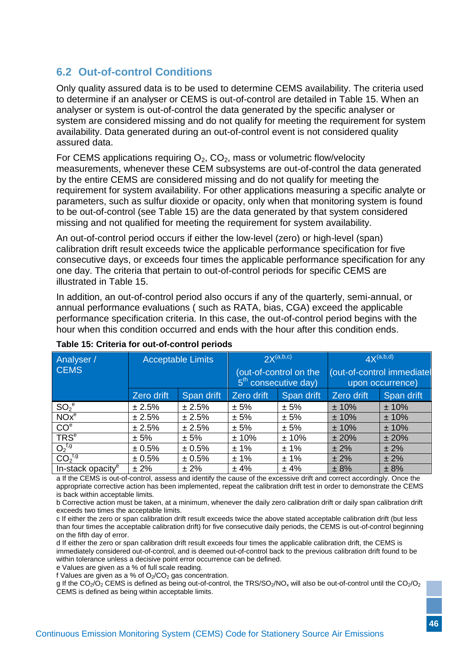# <span id="page-50-0"></span>**6.2 Out-of-control Conditions**

Only quality assured data is to be used to determine CEMS availability. The criteria used to determine if an analyser or CEMS is out-of-control are detailed in [Table 15.](#page-50-1) When an analyser or system is out-of-control the data generated by the specific analyser or system are considered missing and do not qualify for meeting the requirement for system availability. Data generated during an out-of-control event is not considered quality assured data.

For CEMS applications requiring  $O_2$ ,  $CO_2$ , mass or volumetric flow/velocity measurements, whenever these CEM subsystems are out-of-control the data generated by the entire CEMS are considered missing and do not qualify for meeting the requirement for system availability. For other applications measuring a specific analyte or parameters, such as sulfur dioxide or opacity, only when that monitoring system is found to be out-of-control (see [Table 15\)](#page-50-1) are the data generated by that system considered missing and not qualified for meeting the requirement for system availability.

An out-of-control period occurs if either the low-level (zero) or high-level (span) calibration drift result exceeds twice the applicable performance specification for five consecutive days, or exceeds four times the applicable performance specification for any one day. The criteria that pertain to out-of-control periods for specific CEMS are illustrated in [Table 15.](#page-50-1)

In addition, an out-of-control period also occurs if any of the quarterly, semi-annual, or annual performance evaluations ( such as RATA, bias, CGA) exceed the applicable performance specification criteria. In this case, the out-of-control period begins with the hour when this condition occurred and ends with the hour after this condition ends.

| Analyser /                     | <b>Acceptable Limits</b> |            | $2X^{(a,b,c)}$                                             |            | $4X^{(a,b,d)}$                                 |            |
|--------------------------------|--------------------------|------------|------------------------------------------------------------|------------|------------------------------------------------|------------|
| <b>CEMS</b>                    |                          |            | (out-of-control on the<br>5 <sup>th</sup> consecutive day) |            | (out-of-control immediatel<br>upon occurrence) |            |
|                                | Zero drift               | Span drift | Zero drift                                                 | Span drift | Zero drift                                     | Span drift |
| $SO_2^e$                       | ± 2.5%                   | ± 2.5%     | ± 5%                                                       | ± 5%       | ± 10%                                          | ± 10%      |
| NOx <sup>e</sup>               | ± 2.5%                   | ± 2.5%     | ± 5%                                                       | ± 5%       | ± 10%                                          | ±10%       |
| CO <sup>e</sup>                | ± 2.5%                   | ± 2.5%     | ± 5%                                                       | ± 5%       | ±10%                                           | ± 10%      |
| <b>TRS<sup>e</sup></b>         | ± 5%                     | ± 5%       | ±10%                                                       | ±10%       | ±20%                                           | ± 20%      |
| $O_2^{f,g}$                    | ± 0.5%                   | ± 0.5%     | ± 1%                                                       | ± 1%       | ± 2%                                           | $± 2\%$    |
| CO <sub>2</sub> <sup>f,g</sup> | ± 0.5%                   | ± 0.5%     | ± 1%                                                       | ± 1%       | $± 2\%$                                        | ± 2%       |
| In-stack opacity <sup>e</sup>  | ± 2%                     | $± 2\%$    | ±4%                                                        | ±4%        | ± 8%                                           | ± 8%       |

#### <span id="page-50-1"></span>**Table 15: Criteria for out-of-control periods**

a If the CEMS is out-of-control, assess and identify the cause of the excessive drift and correct accordingly. Once the appropriate corrective action has been implemented, repeat the calibration drift test in order to demonstrate the CEMS is back within acceptable limits.

b Corrective action must be taken, at a minimum, whenever the daily zero calibration drift or daily span calibration drift exceeds two times the acceptable limits.

c If either the zero or span calibration drift result exceeds twice the above stated acceptable calibration drift (but less than four times the acceptable calibration drift) for five consecutive daily periods, the CEMS is out-of-control beginning on the fifth day of error.

d If either the zero or span calibration drift result exceeds four times the applicable calibration drift, the CEMS is immediately considered out-of-control, and is deemed out-of-control back to the previous calibration drift found to be within tolerance unless a decisive point error occurrence can be defined.

e Values are given as a % of full scale reading.

f Values are given as a % of  $O<sub>2</sub>/CO<sub>2</sub>$  gas concentration.

g If the CO<sub>2</sub>/O<sub>2</sub> CEMS is defined as being out-of-control, the TRS/SO<sub>2</sub>/NO<sub>x</sub> will also be out-of-control until the CO<sub>2</sub>/O<sub>2</sub> CEMS is defined as being within acceptable limits.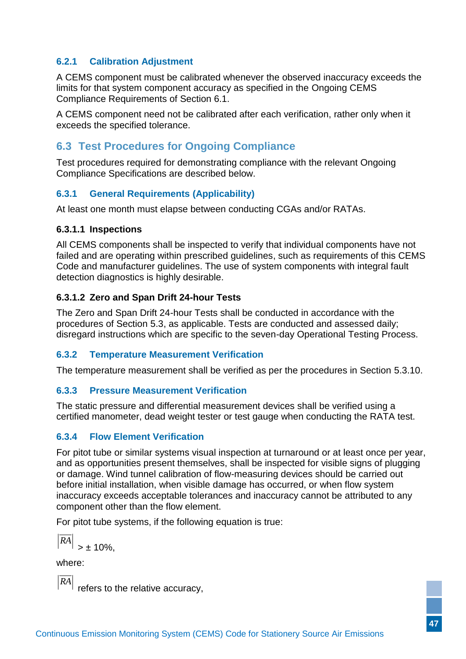#### <span id="page-51-6"></span><span id="page-51-0"></span>**6.2.1 Calibration Adjustment**

A CEMS component must be calibrated whenever the observed inaccuracy exceeds the limits for that system component accuracy as specified in the [Ongoing CEMS](#page-47-5)  [Compliance Requirements](#page-47-5) of Section [6.1.](#page-47-5)

A CEMS component need not be calibrated after each verification, rather only when it exceeds the specified tolerance.

# <span id="page-51-1"></span>**6.3 Test Procedures for Ongoing Compliance**

Test procedures required for demonstrating compliance with the relevant Ongoing Compliance Specifications are described below.

#### <span id="page-51-2"></span>**6.3.1 General Requirements (Applicability)**

At least one month must elapse between conducting CGAs and/or RATAs.

#### **6.3.1.1 Inspections**

All CEMS components shall be inspected to verify that individual components have not failed and are operating within prescribed guidelines, such as requirements of this CEMS Code and manufacturer guidelines. The use of system components with integral fault detection diagnostics is highly desirable.

#### **6.3.1.2 Zero and Span Drift 24-hour Tests**

The Zero and Span Drift 24-hour Tests shall be conducted in accordance with the procedures of Section [5.3,](#page-36-3) as applicable. Tests are conducted and assessed daily; disregard instructions which are specific to the seven-day [Operational Testing Process.](#page-35-1)

#### <span id="page-51-3"></span>**6.3.2 Temperature Measurement Verification**

The temperature measurement shall be verified as per the procedures in Section [5.3.10.](#page-47-6)

#### <span id="page-51-4"></span>**6.3.3 Pressure Measurement Verification**

The static pressure and differential measurement devices shall be verified using a certified manometer, dead weight tester or test gauge when conducting the RATA test.

#### <span id="page-51-5"></span>**6.3.4 Flow Element Verification**

For pitot tube or similar systems visual inspection at turnaround or at least once per year, and as opportunities present themselves, shall be inspected for visible signs of plugging or damage. Wind tunnel calibration of flow-measuring devices should be carried out before initial installation, when visible damage has occurred, or when flow system inaccuracy exceeds acceptable tolerances and inaccuracy cannot be attributed to any component other than the flow element.

For pitot tube systems, if the following equation is true:

$$
\overline{\text{RA}}\big|_{\text{> }\pm 10\%},
$$

where:

*RA* refers to the relative accuracy,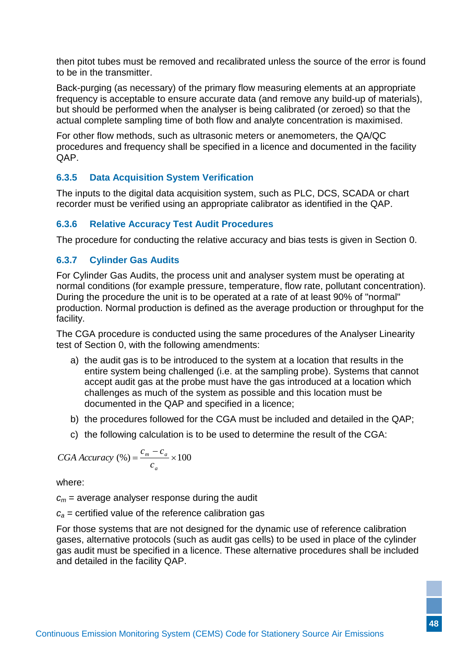then pitot tubes must be removed and recalibrated unless the source of the error is found to be in the transmitter.

Back-purging (as necessary) of the primary flow measuring elements at an appropriate frequency is acceptable to ensure accurate data (and remove any build-up of materials), but should be performed when the analyser is being calibrated (or zeroed) so that the actual complete sampling time of both flow and analyte concentration is maximised.

For other flow methods, such as ultrasonic meters or anemometers, the QA/QC procedures and frequency shall be specified in a licence and documented in the facility QAP.

#### <span id="page-52-0"></span>**6.3.5 Data Acquisition System Verification**

The inputs to the digital data acquisition system, such as PLC, DCS, SCADA or chart recorder must be verified using an appropriate calibrator as identified in the QAP.

#### <span id="page-52-1"></span>**6.3.6 Relative Accuracy Test Audit Procedures**

The procedure for conducting the relative accuracy and bias tests is given in Section [0.](#page-40-1)

#### <span id="page-52-2"></span>**6.3.7 Cylinder Gas Audits**

For Cylinder Gas Audits, the process unit and analyser system must be operating at normal conditions (for example pressure, temperature, flow rate, pollutant concentration). During the procedure the unit is to be operated at a rate of at least 90% of "normal" production. Normal production is defined as the average production or throughput for the facility.

The CGA procedure is conducted using the same procedures of the Analyser Linearity test of Section [0,](#page-39-5) with the following amendments:

- a) the audit gas is to be introduced to the system at a location that results in the entire system being challenged (i.e. at the sampling probe). Systems that cannot accept audit gas at the probe must have the gas introduced at a location which challenges as much of the system as possible and this location must be documented in the QAP and specified in a licence;
- b) the procedures followed for the CGA must be included and detailed in the QAP;
- c) the following calculation is to be used to determine the result of the CGA:

$$
CGA Accuracy (%) = \frac{c_m - c_a}{c_a} \times 100
$$

where:

 $c_m$  = average analyser response during the audit

 $c<sub>a</sub>$  = certified value of the reference calibration gas

<span id="page-52-3"></span>For those systems that are not designed for the dynamic use of reference calibration gases, alternative protocols (such as audit gas cells) to be used in place of the cylinder gas audit must be specified in a licence. These alternative procedures shall be included and detailed in the facility QAP.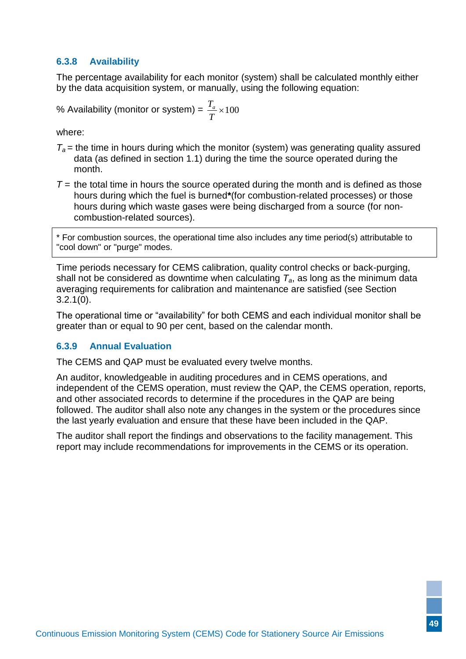#### **6.3.8 Availability**

The percentage availability for each monitor (system) shall be calculated monthly either by the data acquisition system, or manually, using the following equation:

% Availableility (monitor or system) = 
$$
\frac{T_a}{T}
$$
 × 100

where:

- $T_a$  = the time in hours during which the monitor (system) was generating quality assured data (as defined in section 1.1) during the time the source operated during the month.
- $T =$  the total time in hours the source operated during the month and is defined as those hours during which the fuel is burned**\***(for combustion-related processes) or those hours during which waste gases were being discharged from a source (for noncombustion-related sources).

\* For combustion sources, the operational time also includes any time period(s) attributable to "cool down" or "purge" modes.

Time periods necessary for CEMS calibration, quality control checks or back-purging, shall not be considered as downtime when calculating  $T_a$ , as long as the minimum data averaging requirements for calibration and maintenance are satisfied (see Section [3.2.1](#page-22-4)[\(0\)](#page-22-6).

The operational time or "availability" for both CEMS and each individual monitor shall be greater than or equal to 90 per cent, based on the calendar month.

#### <span id="page-53-0"></span>**6.3.9 Annual Evaluation**

The CEMS and QAP must be evaluated every twelve months.

An auditor, knowledgeable in auditing procedures and in CEMS operations, and independent of the CEMS operation, must review the QAP, the CEMS operation, reports, and other associated records to determine if the procedures in the QAP are being followed. The auditor shall also note any changes in the system or the procedures since the last yearly evaluation and ensure that these have been included in the QAP.

The auditor shall report the findings and observations to the facility management. This report may include recommendations for improvements in the CEMS or its operation.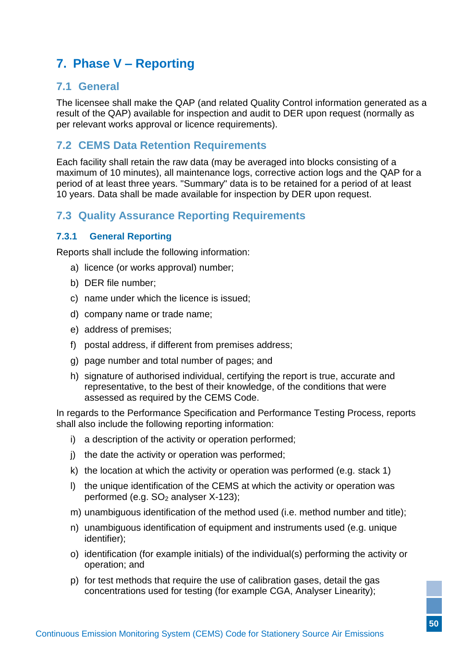# <span id="page-54-0"></span>**7. Phase V – Reporting**

### <span id="page-54-1"></span>**7.1 General**

The licensee shall make the QAP (and related Quality Control information generated as a result of the QAP) available for inspection and audit to DER upon request (normally as per relevant works approval or licence requirements).

### <span id="page-54-2"></span>**7.2 CEMS Data Retention Requirements**

Each facility shall retain the raw data (may be averaged into blocks consisting of a maximum of 10 minutes), all maintenance logs, corrective action logs and the QAP for a period of at least three years. "Summary" data is to be retained for a period of at least 10 years. Data shall be made available for inspection by DER upon request.

# <span id="page-54-3"></span>**7.3 Quality Assurance Reporting Requirements**

#### <span id="page-54-5"></span><span id="page-54-4"></span>**7.3.1 General Reporting**

Reports shall include the following information:

- a) licence (or works approval) number;
- b) DER file number;
- c) name under which the licence is issued;
- d) company name or trade name;
- e) address of premises;
- f) postal address, if different from premises address;
- g) page number and total number of pages; and
- h) signature of authorised individual, certifying the report is true, accurate and representative, to the best of their knowledge, of the conditions that were assessed as required by the CEMS Code.

In regards to the Performance Specification and Performance Testing Process, reports shall also include the following reporting information:

- i) a description of the activity or operation performed;
- j) the date the activity or operation was performed;
- k) the location at which the activity or operation was performed (e.g. stack 1)
- l) the unique identification of the CEMS at which the activity or operation was performed (e.g.  $SO<sub>2</sub>$  analyser X-123);
- m) unambiguous identification of the method used (i.e. method number and title);
- n) unambiguous identification of equipment and instruments used (e.g. unique identifier);
- o) identification (for example initials) of the individual(s) performing the activity or operation; and
- p) for test methods that require the use of calibration gases, detail the gas concentrations used for testing (for example CGA, Analyser Linearity);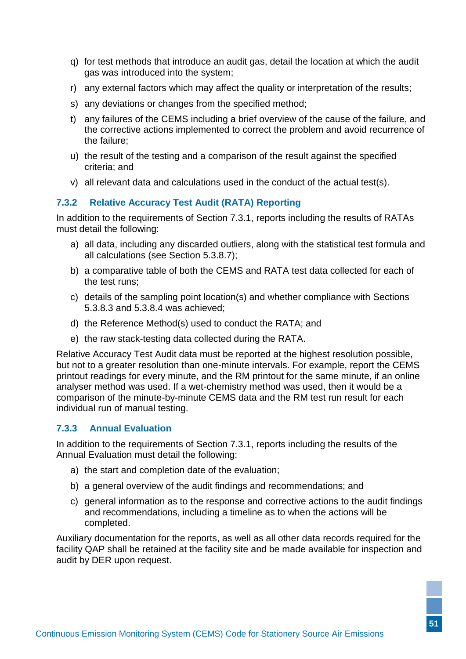- q) for test methods that introduce an audit gas, detail the location at which the audit gas was introduced into the system;
- r) any external factors which may affect the quality or interpretation of the results;
- s) any deviations or changes from the specified method;
- t) any failures of the CEMS including a brief overview of the cause of the failure, and the corrective actions implemented to correct the problem and avoid recurrence of the failure;
- u) the result of the testing and a comparison of the result against the specified criteria; and
- v) all relevant data and calculations used in the conduct of the actual test(s).

#### <span id="page-55-0"></span>**7.3.2 Relative Accuracy Test Audit (RATA) Reporting**

In addition to the requirements of Section [7.3.1,](#page-54-5) reports including the results of RATAs must detail the following:

- a) all data, including any discarded outliers, along with the statistical test formula and all calculations (see Section [5.3.8.7\)](#page-44-1);
- b) a comparative table of both the CEMS and RATA test data collected for each of the test runs;
- c) details of the sampling point location(s) and whether compliance with Sections [5.3.8.3](#page-41-1) and [5.3.8.4](#page-43-0) was achieved;
- d) the Reference Method(s) used to conduct the RATA; and
- e) the raw stack-testing data collected during the RATA.

Relative Accuracy Test Audit data must be reported at the highest resolution possible, but not to a greater resolution than one-minute intervals. For example, report the CEMS printout readings for every minute, and the RM printout for the same minute, if an online analyser method was used. If a wet-chemistry method was used, then it would be a comparison of the minute-by-minute CEMS data and the RM test run result for each individual run of manual testing.

#### <span id="page-55-1"></span>**7.3.3 Annual Evaluation**

In addition to the requirements of Section [7.3.1,](#page-54-5) reports including the results of the Annual Evaluation must detail the following:

- a) the start and completion date of the evaluation;
- b) a general overview of the audit findings and recommendations; and
- <span id="page-55-2"></span>c) general information as to the response and corrective actions to the audit findings and recommendations, including a timeline as to when the actions will be completed.

Auxiliary documentation for the reports, as well as all other data records required for the facility QAP shall be retained at the facility site and be made available for inspection and audit by DER upon request.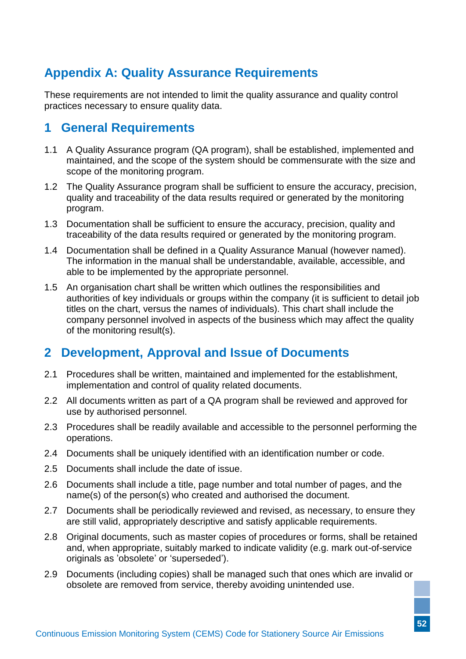# <span id="page-56-0"></span>**Appendix A: Quality Assurance Requirements**

These requirements are not intended to limit the quality assurance and quality control practices necessary to ensure quality data.

# <span id="page-56-1"></span>**1 General Requirements**

- 1.1 A Quality Assurance program (QA program), shall be established, implemented and maintained, and the scope of the system should be commensurate with the size and scope of the monitoring program.
- 1.2 The Quality Assurance program shall be sufficient to ensure the accuracy, precision, quality and traceability of the data results required or generated by the monitoring program.
- 1.3 Documentation shall be sufficient to ensure the accuracy, precision, quality and traceability of the data results required or generated by the monitoring program.
- 1.4 Documentation shall be defined in a Quality Assurance Manual (however named). The information in the manual shall be understandable, available, accessible, and able to be implemented by the appropriate personnel.
- 1.5 An organisation chart shall be written which outlines the responsibilities and authorities of key individuals or groups within the company (it is sufficient to detail job titles on the chart, versus the names of individuals). This chart shall include the company personnel involved in aspects of the business which may affect the quality of the monitoring result(s).

# <span id="page-56-2"></span>**2 Development, Approval and Issue of Documents**

- 2.1 Procedures shall be written, maintained and implemented for the establishment, implementation and control of quality related documents.
- 2.2 All documents written as part of a QA program shall be reviewed and approved for use by authorised personnel.
- 2.3 Procedures shall be readily available and accessible to the personnel performing the operations.
- 2.4 Documents shall be uniquely identified with an identification number or code.
- 2.5 Documents shall include the date of issue.
- 2.6 Documents shall include a title, page number and total number of pages, and the name(s) of the person(s) who created and authorised the document.
- 2.7 Documents shall be periodically reviewed and revised, as necessary, to ensure they are still valid, appropriately descriptive and satisfy applicable requirements.
- 2.8 Original documents, such as master copies of procedures or forms, shall be retained and, when appropriate, suitably marked to indicate validity (e.g. mark out-of-service originals as 'obsolete' or 'superseded').
- 2.9 Documents (including copies) shall be managed such that ones which are invalid or obsolete are removed from service, thereby avoiding unintended use.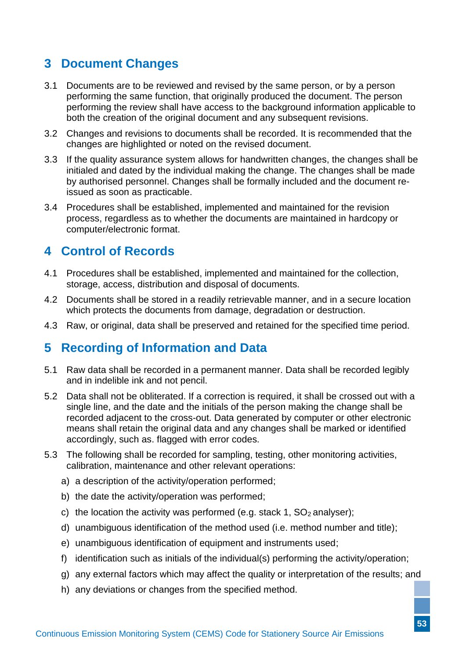# <span id="page-57-0"></span>**3 Document Changes**

- 3.1 Documents are to be reviewed and revised by the same person, or by a person performing the same function, that originally produced the document. The person performing the review shall have access to the background information applicable to both the creation of the original document and any subsequent revisions.
- 3.2 Changes and revisions to documents shall be recorded. It is recommended that the changes are highlighted or noted on the revised document.
- 3.3 If the quality assurance system allows for handwritten changes, the changes shall be initialed and dated by the individual making the change. The changes shall be made by authorised personnel. Changes shall be formally included and the document reissued as soon as practicable.
- 3.4 Procedures shall be established, implemented and maintained for the revision process, regardless as to whether the documents are maintained in hardcopy or computer/electronic format.

# <span id="page-57-1"></span>**4 Control of Records**

- 4.1 Procedures shall be established, implemented and maintained for the collection, storage, access, distribution and disposal of documents.
- 4.2 Documents shall be stored in a readily retrievable manner, and in a secure location which protects the documents from damage, degradation or destruction.
- 4.3 Raw, or original, data shall be preserved and retained for the specified time period.

# <span id="page-57-2"></span>**5 Recording of Information and Data**

- 5.1 Raw data shall be recorded in a permanent manner. Data shall be recorded legibly and in indelible ink and not pencil.
- 5.2 Data shall not be obliterated. If a correction is required, it shall be crossed out with a single line, and the date and the initials of the person making the change shall be recorded adjacent to the cross-out. Data generated by computer or other electronic means shall retain the original data and any changes shall be marked or identified accordingly, such as. flagged with error codes.
- 5.3 The following shall be recorded for sampling, testing, other monitoring activities, calibration, maintenance and other relevant operations:
	- a) a description of the activity/operation performed;
	- b) the date the activity/operation was performed;
	- c) the location the activity was performed (e.g. stack 1,  $SO<sub>2</sub>$  analyser);
	- d) unambiguous identification of the method used (i.e. method number and title);
	- e) unambiguous identification of equipment and instruments used;
	- f) identification such as initials of the individual(s) performing the activity/operation;
	- g) any external factors which may affect the quality or interpretation of the results; and
	- h) any deviations or changes from the specified method.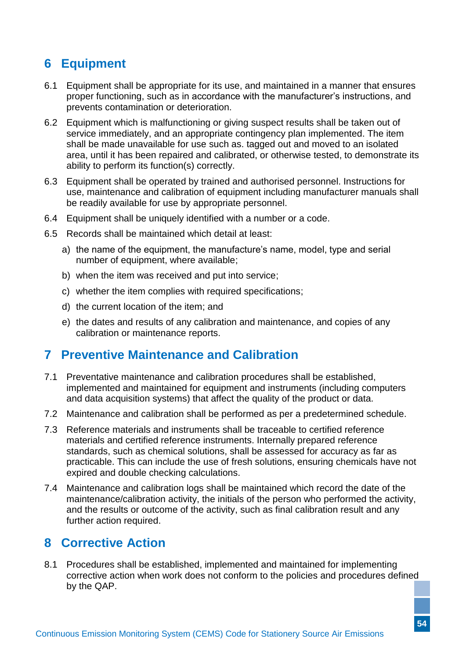# <span id="page-58-0"></span>**6 Equipment**

- 6.1 Equipment shall be appropriate for its use, and maintained in a manner that ensures proper functioning, such as in accordance with the manufacturer's instructions, and prevents contamination or deterioration.
- 6.2 Equipment which is malfunctioning or giving suspect results shall be taken out of service immediately, and an appropriate contingency plan implemented. The item shall be made unavailable for use such as. tagged out and moved to an isolated area, until it has been repaired and calibrated, or otherwise tested, to demonstrate its ability to perform its function(s) correctly.
- 6.3 Equipment shall be operated by trained and authorised personnel. Instructions for use, maintenance and calibration of equipment including manufacturer manuals shall be readily available for use by appropriate personnel.
- 6.4 Equipment shall be uniquely identified with a number or a code.
- 6.5 Records shall be maintained which detail at least:
	- a) the name of the equipment, the manufacture's name, model, type and serial number of equipment, where available;
	- b) when the item was received and put into service;
	- c) whether the item complies with required specifications;
	- d) the current location of the item; and
	- e) the dates and results of any calibration and maintenance, and copies of any calibration or maintenance reports.

# <span id="page-58-1"></span>**7 Preventive Maintenance and Calibration**

- 7.1 Preventative maintenance and calibration procedures shall be established, implemented and maintained for equipment and instruments (including computers and data acquisition systems) that affect the quality of the product or data.
- 7.2 Maintenance and calibration shall be performed as per a predetermined schedule.
- 7.3 Reference materials and instruments shall be traceable to certified reference materials and certified reference instruments. Internally prepared reference standards, such as chemical solutions, shall be assessed for accuracy as far as practicable. This can include the use of fresh solutions, ensuring chemicals have not expired and double checking calculations.
- 7.4 Maintenance and calibration logs shall be maintained which record the date of the maintenance/calibration activity, the initials of the person who performed the activity, and the results or outcome of the activity, such as final calibration result and any further action required.

# <span id="page-58-2"></span>**8 Corrective Action**

8.1 Procedures shall be established, implemented and maintained for implementing corrective action when work does not conform to the policies and procedures defined by the QAP.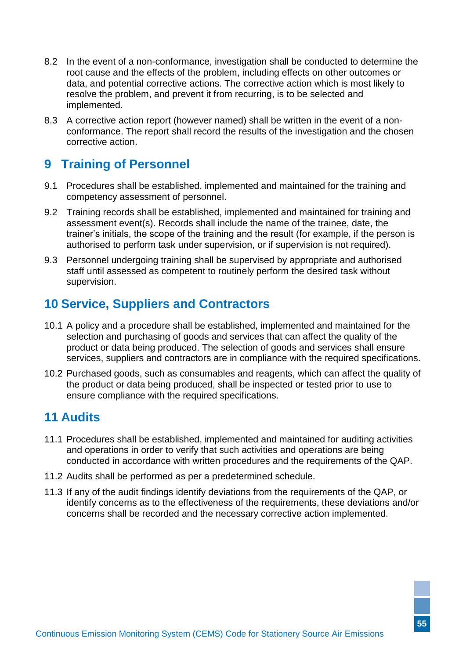- 8.2 In the event of a non-conformance, investigation shall be conducted to determine the root cause and the effects of the problem, including effects on other outcomes or data, and potential corrective actions. The corrective action which is most likely to resolve the problem, and prevent it from recurring, is to be selected and implemented.
- 8.3 A corrective action report (however named) shall be written in the event of a nonconformance. The report shall record the results of the investigation and the chosen corrective action.

# <span id="page-59-0"></span>**9 Training of Personnel**

- 9.1 Procedures shall be established, implemented and maintained for the training and competency assessment of personnel.
- 9.2 Training records shall be established, implemented and maintained for training and assessment event(s). Records shall include the name of the trainee, date, the trainer's initials, the scope of the training and the result (for example, if the person is authorised to perform task under supervision, or if supervision is not required).
- 9.3 Personnel undergoing training shall be supervised by appropriate and authorised staff until assessed as competent to routinely perform the desired task without supervision.

# <span id="page-59-1"></span>**10 Service, Suppliers and Contractors**

- 10.1 A policy and a procedure shall be established, implemented and maintained for the selection and purchasing of goods and services that can affect the quality of the product or data being produced. The selection of goods and services shall ensure services, suppliers and contractors are in compliance with the required specifications.
- 10.2 Purchased goods, such as consumables and reagents, which can affect the quality of the product or data being produced, shall be inspected or tested prior to use to ensure compliance with the required specifications.

# <span id="page-59-2"></span>**11 Audits**

- 11.1 Procedures shall be established, implemented and maintained for auditing activities and operations in order to verify that such activities and operations are being conducted in accordance with written procedures and the requirements of the QAP.
- 11.2 Audits shall be performed as per a predetermined schedule.
- 11.3 If any of the audit findings identify deviations from the requirements of the QAP, or identify concerns as to the effectiveness of the requirements, these deviations and/or concerns shall be recorded and the necessary corrective action implemented.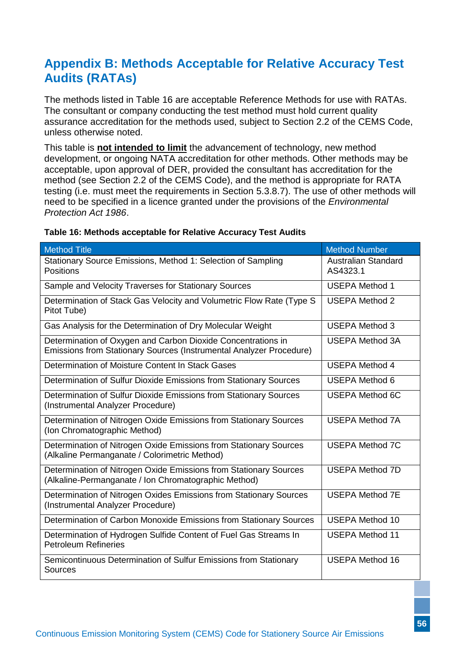# <span id="page-60-1"></span><span id="page-60-0"></span>**Appendix B: Methods Acceptable for Relative Accuracy Test Audits (RATAs)**

The methods listed in [Table 16](#page-60-2) are acceptable Reference Methods for use with RATAs. The consultant or company conducting the test method must hold current quality assurance accreditation for the methods used, subject to Section [2.2](#page-18-2) of the CEMS Code, unless otherwise noted.

This table is **not intended to limit** the advancement of technology, new method development, or ongoing NATA accreditation for other methods. Other methods may be acceptable, upon approval of DER, provided the consultant has accreditation for the method (see Section [2.2](#page-18-2) of the CEMS Code), and the method is appropriate for RATA testing (i.e. must meet the requirements in Section [5.3.8.7\)](#page-44-1). The use of other methods will need to be specified in a licence granted under the provisions of the *Environmental Protection Act 1986*.

| <b>Method Title</b>                                                                                                                 | <b>Method Number</b>                   |
|-------------------------------------------------------------------------------------------------------------------------------------|----------------------------------------|
| Stationary Source Emissions, Method 1: Selection of Sampling<br><b>Positions</b>                                                    | <b>Australian Standard</b><br>AS4323.1 |
| Sample and Velocity Traverses for Stationary Sources                                                                                | <b>USEPA Method 1</b>                  |
| Determination of Stack Gas Velocity and Volumetric Flow Rate (Type S<br>Pitot Tube)                                                 | <b>USEPA Method 2</b>                  |
| Gas Analysis for the Determination of Dry Molecular Weight                                                                          | <b>USEPA Method 3</b>                  |
| Determination of Oxygen and Carbon Dioxide Concentrations in<br>Emissions from Stationary Sources (Instrumental Analyzer Procedure) | <b>USEPA Method 3A</b>                 |
| Determination of Moisture Content In Stack Gases                                                                                    | <b>USEPA Method 4</b>                  |
| Determination of Sulfur Dioxide Emissions from Stationary Sources                                                                   | <b>USEPA Method 6</b>                  |
| Determination of Sulfur Dioxide Emissions from Stationary Sources<br>(Instrumental Analyzer Procedure)                              | <b>USEPA Method 6C</b>                 |
| Determination of Nitrogen Oxide Emissions from Stationary Sources<br>(Ion Chromatographic Method)                                   | <b>USEPA Method 7A</b>                 |
| Determination of Nitrogen Oxide Emissions from Stationary Sources<br>(Alkaline Permanganate / Colorimetric Method)                  | <b>USEPA Method 7C</b>                 |
| Determination of Nitrogen Oxide Emissions from Stationary Sources<br>(Alkaline-Permanganate / Ion Chromatographic Method)           | <b>USEPA Method 7D</b>                 |
| Determination of Nitrogen Oxides Emissions from Stationary Sources<br>(Instrumental Analyzer Procedure)                             | <b>USEPA Method 7E</b>                 |
| Determination of Carbon Monoxide Emissions from Stationary Sources                                                                  | <b>USEPA Method 10</b>                 |
| Determination of Hydrogen Sulfide Content of Fuel Gas Streams In<br><b>Petroleum Refineries</b>                                     | <b>USEPA Method 11</b>                 |
| Semicontinuous Determination of Sulfur Emissions from Stationary<br>Sources                                                         | <b>USEPA Method 16</b>                 |

#### <span id="page-60-2"></span>**Table 16: Methods acceptable for Relative Accuracy Test Audits**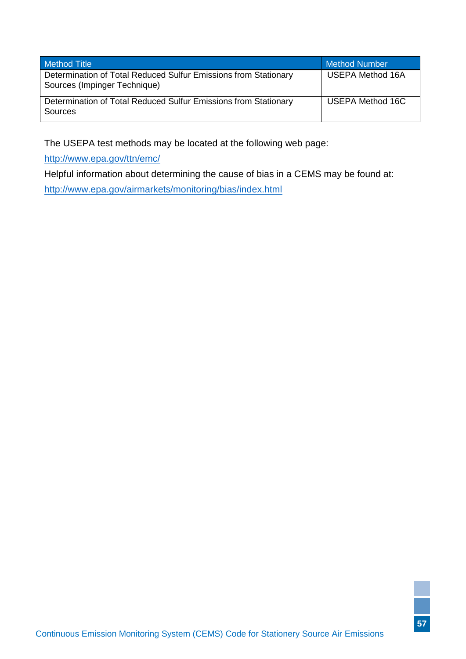| <b>Method Title</b>                                                                             | <b>Method Number</b>    |
|-------------------------------------------------------------------------------------------------|-------------------------|
| Determination of Total Reduced Sulfur Emissions from Stationary<br>Sources (Impinger Technique) | <b>USEPA Method 16A</b> |
| Determination of Total Reduced Sulfur Emissions from Stationary<br>Sources                      | USEPA Method 16C        |

The USEPA test methods may be located at the following web page:

<http://www.epa.gov/ttn/emc/>

Helpful information about determining the cause of bias in a CEMS may be found at:

<http://www.epa.gov/airmarkets/monitoring/bias/index.html>